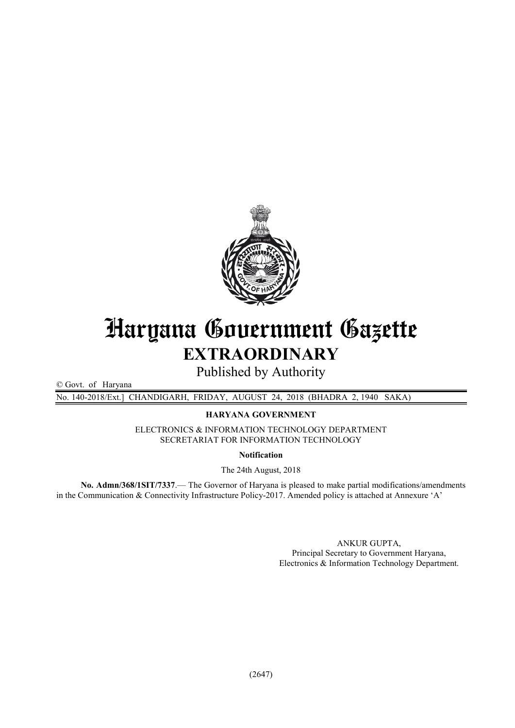

# Haryana Government Gazette EXTRAORDINARY

Published by Authority

© Govt. of Haryana

No. 140-2018/Ext.] CHANDIGARH, FRIDAY, AUGUST 24, 2018 (BHADRA 2, 1940 SAKA)

HARYANA GOVERNMENT

ELECTRONICS & INFORMATION TECHNOLOGY DEPARTMENT SECRETARIAT FOR INFORMATION TECHNOLOGY

Notification

The 24th August, 2018

No. Admn/368/1SIT/7337.— The Governor of Haryana is pleased to make partial modifications/amendments in the Communication & Connectivity Infrastructure Policy-2017. Amended policy is attached at Annexure 'A'

> ANKUR GUPTA, Principal Secretary to Government Haryana, Electronics & Information Technology Department.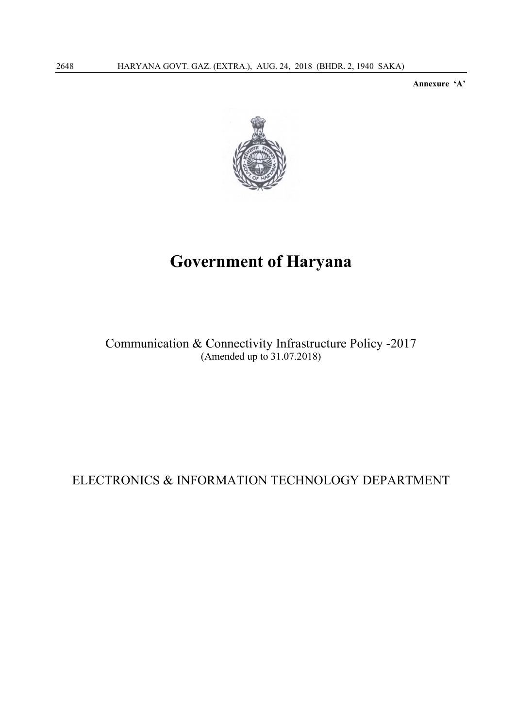Annexure 'A'



## Government of Haryana

Communication & Connectivity Infrastructure Policy -2017 (Amended up to 31.07.2018)

## ELECTRONICS & INFORMATION TECHNOLOGY DEPARTMENT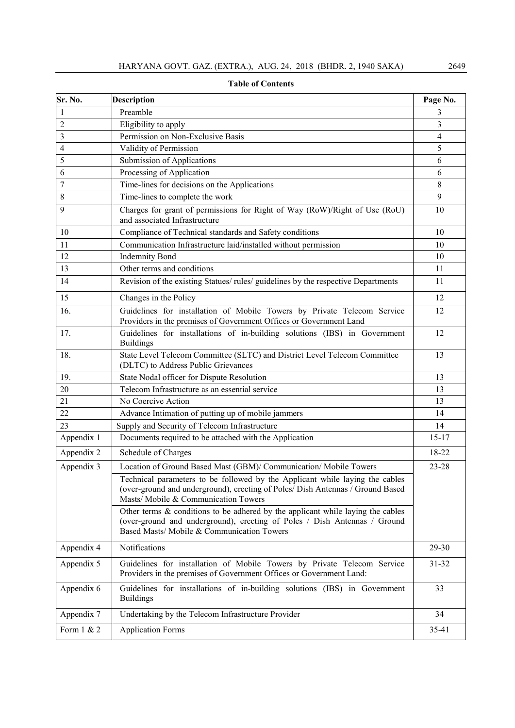| Sr. No.        | <b>Description</b>                                                                                                                                                                                            | Page No.  |
|----------------|---------------------------------------------------------------------------------------------------------------------------------------------------------------------------------------------------------------|-----------|
| 1              | Preamble                                                                                                                                                                                                      | 3         |
| $\overline{c}$ | Eligibility to apply                                                                                                                                                                                          | 3         |
| 3              | Permission on Non-Exclusive Basis                                                                                                                                                                             | 4         |
| $\overline{4}$ | Validity of Permission                                                                                                                                                                                        | 5         |
| 5              | <b>Submission of Applications</b>                                                                                                                                                                             | 6         |
| 6              | Processing of Application                                                                                                                                                                                     | 6         |
| $\overline{7}$ | Time-lines for decisions on the Applications                                                                                                                                                                  | 8         |
| 8              | Time-lines to complete the work                                                                                                                                                                               | 9         |
| 9              | Charges for grant of permissions for Right of Way (RoW)/Right of Use (RoU)<br>and associated Infrastructure                                                                                                   | 10        |
| 10             | Compliance of Technical standards and Safety conditions                                                                                                                                                       | 10        |
| 11             | Communication Infrastructure laid/installed without permission                                                                                                                                                | 10        |
| 12             | <b>Indemnity Bond</b>                                                                                                                                                                                         | 10        |
| 13             | Other terms and conditions                                                                                                                                                                                    | 11        |
| 14             | Revision of the existing Statues/ rules/ guidelines by the respective Departments                                                                                                                             | 11        |
| 15             | Changes in the Policy                                                                                                                                                                                         | 12        |
| 16.            | Guidelines for installation of Mobile Towers by Private Telecom Service<br>Providers in the premises of Government Offices or Government Land                                                                 | 12        |
| 17.            | Guidelines for installations of in-building solutions (IBS) in Government<br><b>Buildings</b>                                                                                                                 | 12        |
| 18.            | State Level Telecom Committee (SLTC) and District Level Telecom Committee<br>(DLTC) to Address Public Grievances                                                                                              | 13        |
| 19.            | State Nodal officer for Dispute Resolution                                                                                                                                                                    | 13        |
| 20             | Telecom Infrastructure as an essential service                                                                                                                                                                | 13        |
| 21             | No Coercive Action                                                                                                                                                                                            | 13        |
| 22             | Advance Intimation of putting up of mobile jammers                                                                                                                                                            | 14        |
| 23             | Supply and Security of Telecom Infrastructure                                                                                                                                                                 | 14        |
| Appendix 1     | Documents required to be attached with the Application                                                                                                                                                        | $15 - 17$ |
| Appendix 2     | Schedule of Charges                                                                                                                                                                                           | 18-22     |
| Appendix 3     | Location of Ground Based Mast (GBM)/ Communication/ Mobile Towers                                                                                                                                             | $23 - 28$ |
|                | Technical parameters to be followed by the Applicant while laying the cables<br>(over-ground and underground), erecting of Poles/ Dish Antennas / Ground Based<br>Masts/Mobile & Communication Towers         |           |
|                | Other terms $\&$ conditions to be adhered by the applicant while laying the cables<br>(over-ground and underground), erecting of Poles / Dish Antennas / Ground<br>Based Masts/ Mobile & Communication Towers |           |
| Appendix 4     | Notifications                                                                                                                                                                                                 | 29-30     |
| Appendix 5     | Guidelines for installation of Mobile Towers by Private Telecom Service<br>Providers in the premises of Government Offices or Government Land:                                                                | $31 - 32$ |
| Appendix 6     | Guidelines for installations of in-building solutions (IBS) in Government<br><b>Buildings</b>                                                                                                                 | 33        |
| Appendix 7     | Undertaking by the Telecom Infrastructure Provider                                                                                                                                                            | 34        |
| Form 1 & 2     | <b>Application Forms</b>                                                                                                                                                                                      | 35-41     |

Table of Contents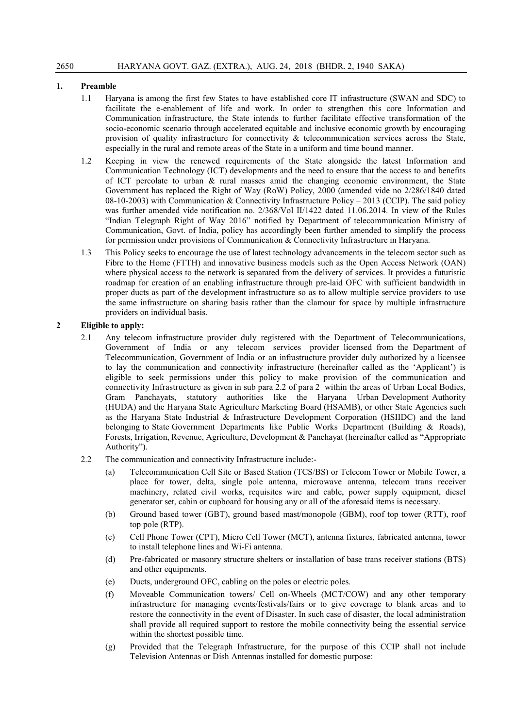### 1. Preamble

- 1.1 Haryana is among the first few States to have established core IT infrastructure (SWAN and SDC) to facilitate the e-enablement of life and work. In order to strengthen this core Information and Communication infrastructure, the State intends to further facilitate effective transformation of the socio-economic scenario through accelerated equitable and inclusive economic growth by encouraging provision of quality infrastructure for connectivity  $\&$  telecommunication services across the State, especially in the rural and remote areas of the State in a uniform and time bound manner.
- 1.2 Keeping in view the renewed requirements of the State alongside the latest Information and Communication Technology (ICT) developments and the need to ensure that the access to and benefits of ICT percolate to urban & rural masses amid the changing economic environment, the State Government has replaced the Right of Way (RoW) Policy, 2000 (amended vide no 2/286/1840 dated 08-10-2003) with Communication & Connectivity Infrastructure Policy – 2013 (CCIP). The said policy was further amended vide notification no. 2/368/Vol II/1422 dated 11.06.2014. In view of the Rules "Indian Telegraph Right of Way 2016" notified by Department of telecommunication Ministry of Communication, Govt. of India, policy has accordingly been further amended to simplify the process for permission under provisions of Communication & Connectivity Infrastructure in Haryana.
- 1.3 This Policy seeks to encourage the use of latest technology advancements in the telecom sector such as Fibre to the Home (FTTH) and innovative business models such as the Open Access Network (OAN) where physical access to the network is separated from the delivery of services. It provides a futuristic roadmap for creation of an enabling infrastructure through pre-laid OFC with sufficient bandwidth in proper ducts as part of the development infrastructure so as to allow multiple service providers to use the same infrastructure on sharing basis rather than the clamour for space by multiple infrastructure providers on individual basis.

#### 2 Eligible to apply:

- 2.1 Any telecom infrastructure provider duly registered with the Department of Telecommunications, Government of India or any telecom services provider licensed from the Department of Telecommunication, Government of India or an infrastructure provider duly authorized by a licensee to lay the communication and connectivity infrastructure (hereinafter called as the 'Applicant') is eligible to seek permissions under this policy to make provision of the communication and connectivity Infrastructure as given in sub para 2.2 of para 2 within the areas of Urban Local Bodies, Gram Panchayats, statutory authorities like the Haryana Urban Development Authority (HUDA) and the Haryana State Agriculture Marketing Board (HSAMB), or other State Agencies such as the Haryana State Industrial & Infrastructure Development Corporation (HSIIDC) and the land belonging to State Government Departments like Public Works Department (Building & Roads), Forests, Irrigation, Revenue, Agriculture, Development & Panchayat (hereinafter called as "Appropriate Authority").
- 2.2 The communication and connectivity Infrastructure include:-
	- (a) Telecommunication Cell Site or Based Station (TCS/BS) or Telecom Tower or Mobile Tower, a place for tower, delta, single pole antenna, microwave antenna, telecom trans receiver machinery, related civil works, requisites wire and cable, power supply equipment, diesel generator set, cabin or cupboard for housing any or all of the aforesaid items is necessary.
	- (b) Ground based tower (GBT), ground based mast/monopole (GBM), roof top tower (RTT), roof top pole (RTP).
	- (c) Cell Phone Tower (CPT), Micro Cell Tower (MCT), antenna fixtures, fabricated antenna, tower to install telephone lines and Wi-Fi antenna.
	- (d) Pre-fabricated or masonry structure shelters or installation of base trans receiver stations (BTS) and other equipments.
	- (e) Ducts, underground OFC, cabling on the poles or electric poles.
	- (f) Moveable Communication towers/ Cell on-Wheels (MCT/COW) and any other temporary infrastructure for managing events/festivals/fairs or to give coverage to blank areas and to restore the connectivity in the event of Disaster. In such case of disaster, the local administration shall provide all required support to restore the mobile connectivity being the essential service within the shortest possible time.
	- (g) Provided that the Telegraph Infrastructure, for the purpose of this CCIP shall not include Television Antennas or Dish Antennas installed for domestic purpose: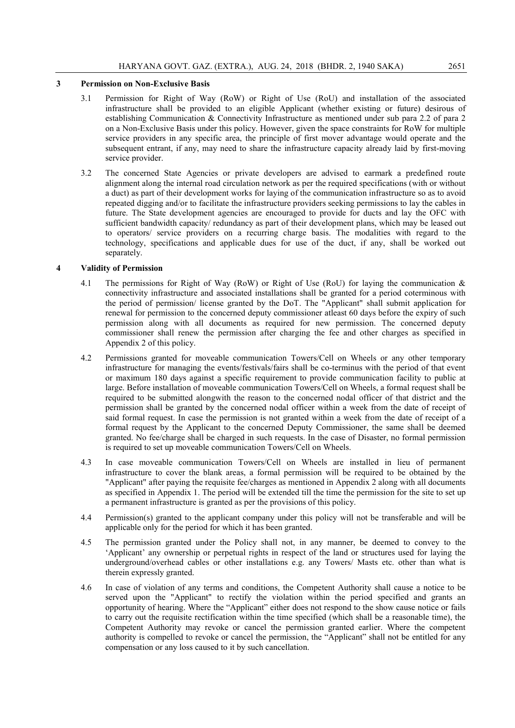#### 3 Permission on Non-Exclusive Basis

- 3.1 Permission for Right of Way (RoW) or Right of Use (RoU) and installation of the associated infrastructure shall be provided to an eligible Applicant (whether existing or future) desirous of establishing Communication & Connectivity Infrastructure as mentioned under sub para 2.2 of para 2 on a Non-Exclusive Basis under this policy. However, given the space constraints for RoW for multiple service providers in any specific area, the principle of first mover advantage would operate and the subsequent entrant, if any, may need to share the infrastructure capacity already laid by first-moving service provider.
- 3.2 The concerned State Agencies or private developers are advised to earmark a predefined route alignment along the internal road circulation network as per the required specifications (with or without a duct) as part of their development works for laying of the communication infrastructure so as to avoid repeated digging and/or to facilitate the infrastructure providers seeking permissions to lay the cables in future. The State development agencies are encouraged to provide for ducts and lay the OFC with sufficient bandwidth capacity/ redundancy as part of their development plans, which may be leased out to operators/ service providers on a recurring charge basis. The modalities with regard to the technology, specifications and applicable dues for use of the duct, if any, shall be worked out separately.

#### 4 Validity of Permission

- 4.1 The permissions for Right of Way (RoW) or Right of Use (RoU) for laying the communication & connectivity infrastructure and associated installations shall be granted for a period coterminous with the period of permission/ license granted by the DoT. The "Applicant" shall submit application for renewal for permission to the concerned deputy commissioner atleast 60 days before the expiry of such permission along with all documents as required for new permission. The concerned deputy commissioner shall renew the permission after charging the fee and other charges as specified in Appendix 2 of this policy.
- 4.2 Permissions granted for moveable communication Towers/Cell on Wheels or any other temporary infrastructure for managing the events/festivals/fairs shall be co-terminus with the period of that event or maximum 180 days against a specific requirement to provide communication facility to public at large. Before installation of moveable communication Towers/Cell on Wheels, a formal request shall be required to be submitted alongwith the reason to the concerned nodal officer of that district and the permission shall be granted by the concerned nodal officer within a week from the date of receipt of said formal request. In case the permission is not granted within a week from the date of receipt of a formal request by the Applicant to the concerned Deputy Commissioner, the same shall be deemed granted. No fee/charge shall be charged in such requests. In the case of Disaster, no formal permission is required to set up moveable communication Towers/Cell on Wheels.
- 4.3 In case moveable communication Towers/Cell on Wheels are installed in lieu of permanent infrastructure to cover the blank areas, a formal permission will be required to be obtained by the "Applicant" after paying the requisite fee/charges as mentioned in Appendix 2 along with all documents as specified in Appendix 1. The period will be extended till the time the permission for the site to set up a permanent infrastructure is granted as per the provisions of this policy.
- 4.4 Permission(s) granted to the applicant company under this policy will not be transferable and will be applicable only for the period for which it has been granted.
- 4.5 The permission granted under the Policy shall not, in any manner, be deemed to convey to the 'Applicant' any ownership or perpetual rights in respect of the land or structures used for laying the underground/overhead cables or other installations e.g. any Towers/ Masts etc. other than what is therein expressly granted.
- 4.6 In case of violation of any terms and conditions, the Competent Authority shall cause a notice to be served upon the "Applicant" to rectify the violation within the period specified and grants an opportunity of hearing. Where the "Applicant" either does not respond to the show cause notice or fails to carry out the requisite rectification within the time specified (which shall be a reasonable time), the Competent Authority may revoke or cancel the permission granted earlier. Where the competent authority is compelled to revoke or cancel the permission, the "Applicant" shall not be entitled for any compensation or any loss caused to it by such cancellation.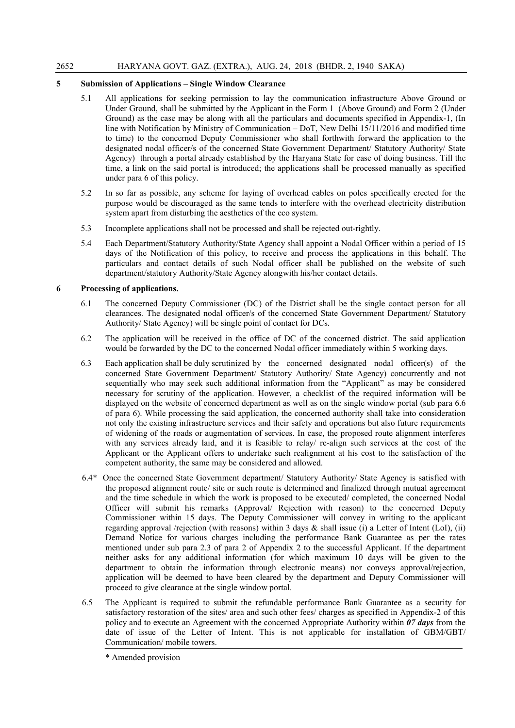### 5 Submission of Applications – Single Window Clearance

- 5.1 All applications for seeking permission to lay the communication infrastructure Above Ground or Under Ground, shall be submitted by the Applicant in the Form 1 (Above Ground) and Form 2 (Under Ground) as the case may be along with all the particulars and documents specified in Appendix-1, (In line with Notification by Ministry of Communication – DoT, New Delhi 15/11/2016 and modified time to time) to the concerned Deputy Commissioner who shall forthwith forward the application to the designated nodal officer/s of the concerned State Government Department/ Statutory Authority/ State Agency) through a portal already established by the Haryana State for ease of doing business. Till the time, a link on the said portal is introduced; the applications shall be processed manually as specified under para 6 of this policy.
- 5.2 In so far as possible, any scheme for laying of overhead cables on poles specifically erected for the purpose would be discouraged as the same tends to interfere with the overhead electricity distribution system apart from disturbing the aesthetics of the eco system.
- 5.3 Incomplete applications shall not be processed and shall be rejected out-rightly.
- 5.4 Each Department/Statutory Authority/State Agency shall appoint a Nodal Officer within a period of 15 days of the Notification of this policy, to receive and process the applications in this behalf. The particulars and contact details of such Nodal officer shall be published on the website of such department/statutory Authority/State Agency alongwith his/her contact details.

#### 6 Processing of applications.

- 6.1 The concerned Deputy Commissioner (DC) of the District shall be the single contact person for all clearances. The designated nodal officer/s of the concerned State Government Department/ Statutory Authority/ State Agency) will be single point of contact for DCs.
- 6.2 The application will be received in the office of DC of the concerned district. The said application would be forwarded by the DC to the concerned Nodal officer immediately within 5 working days.
- 6.3 Each application shall be duly scrutinized by the concerned designated nodal officer(s) of the concerned State Government Department/ Statutory Authority/ State Agency) concurrently and not sequentially who may seek such additional information from the "Applicant" as may be considered necessary for scrutiny of the application. However, a checklist of the required information will be displayed on the website of concerned department as well as on the single window portal (sub para 6.6 of para 6). While processing the said application, the concerned authority shall take into consideration not only the existing infrastructure services and their safety and operations but also future requirements of widening of the roads or augmentation of services. In case, the proposed route alignment interferes with any services already laid, and it is feasible to relay/ re-align such services at the cost of the Applicant or the Applicant offers to undertake such realignment at his cost to the satisfaction of the competent authority, the same may be considered and allowed.
- 6.4\* Once the concerned State Government department/ Statutory Authority/ State Agency is satisfied with the proposed alignment route/ site or such route is determined and finalized through mutual agreement and the time schedule in which the work is proposed to be executed/ completed, the concerned Nodal Officer will submit his remarks (Approval/ Rejection with reason) to the concerned Deputy Commissioner within 15 days. The Deputy Commissioner will convey in writing to the applicant regarding approval /rejection (with reasons) within 3 days & shall issue (i) a Letter of Intent (LoI), (ii) Demand Notice for various charges including the performance Bank Guarantee as per the rates mentioned under sub para 2.3 of para 2 of Appendix 2 to the successful Applicant. If the department neither asks for any additional information (for which maximum 10 days will be given to the department to obtain the information through electronic means) nor conveys approval/rejection, application will be deemed to have been cleared by the department and Deputy Commissioner will proceed to give clearance at the single window portal.
- 6.5 The Applicant is required to submit the refundable performance Bank Guarantee as a security for satisfactory restoration of the sites/ area and such other fees/ charges as specified in Appendix-2 of this policy and to execute an Agreement with the concerned Appropriate Authority within *07 days* from the date of issue of the Letter of Intent. This is not applicable for installation of GBM/GBT/ Communication/ mobile towers.

<sup>\*</sup> Amended provision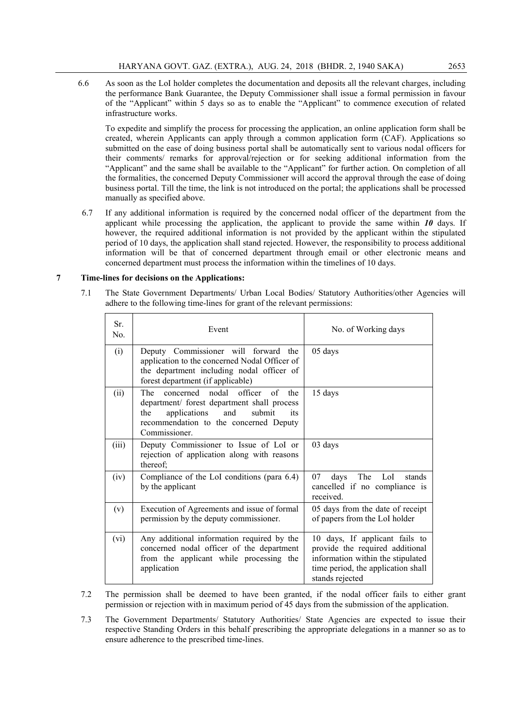6.6 As soon as the LoI holder completes the documentation and deposits all the relevant charges, including the performance Bank Guarantee, the Deputy Commissioner shall issue a formal permission in favour of the "Applicant" within 5 days so as to enable the "Applicant" to commence execution of related infrastructure works.

To expedite and simplify the process for processing the application, an online application form shall be created, wherein Applicants can apply through a common application form (CAF). Applications so submitted on the ease of doing business portal shall be automatically sent to various nodal officers for their comments/ remarks for approval/rejection or for seeking additional information from the "Applicant" and the same shall be available to the "Applicant" for further action. On completion of all the formalities, the concerned Deputy Commissioner will accord the approval through the ease of doing business portal. Till the time, the link is not introduced on the portal; the applications shall be processed manually as specified above.

6.7 If any additional information is required by the concerned nodal officer of the department from the applicant while processing the application, the applicant to provide the same within *10* days. If however, the required additional information is not provided by the applicant within the stipulated period of 10 days, the application shall stand rejected. However, the responsibility to process additional information will be that of concerned department through email or other electronic means and concerned department must process the information within the timelines of 10 days.

#### 7 Time-lines for decisions on the Applications:

7.1 The State Government Departments/ Urban Local Bodies/ Statutory Authorities/other Agencies will adhere to the following time-lines for grant of the relevant permissions:

| Sr <sub>2</sub><br>No. | Event                                                                                                                                                                                          | No. of Working days                                                                                                                                             |
|------------------------|------------------------------------------------------------------------------------------------------------------------------------------------------------------------------------------------|-----------------------------------------------------------------------------------------------------------------------------------------------------------------|
| (i)                    | Deputy Commissioner will forward the<br>application to the concerned Nodal Officer of<br>the department including nodal officer of<br>forest department (if applicable)                        | 05 days                                                                                                                                                         |
| (ii)                   | The concerned nodal officer of<br>the<br>department/ forest department shall process<br>applications<br>submit<br>and<br>the<br>its<br>recommendation to the concerned Deputy<br>Commissioner. | 15 days                                                                                                                                                         |
| (iii)                  | Deputy Commissioner to Issue of LoI or<br>rejection of application along with reasons<br>thereof;                                                                                              | 03 days                                                                                                                                                         |
| (iv)                   | Compliance of the LoI conditions (para 6.4)<br>by the applicant                                                                                                                                | The LoI stands<br>07<br>days<br>cancelled if no compliance is<br>received                                                                                       |
| (v)                    | Execution of Agreements and issue of formal<br>permission by the deputy commissioner.                                                                                                          | 05 days from the date of receipt<br>of papers from the LoI holder                                                                                               |
| (vi)                   | Any additional information required by the<br>concerned nodal officer of the department<br>from the applicant while processing the<br>application                                              | 10 days, If applicant fails to<br>provide the required additional<br>information within the stipulated<br>time period, the application shall<br>stands rejected |

- 7.2 The permission shall be deemed to have been granted, if the nodal officer fails to either grant permission or rejection with in maximum period of 45 days from the submission of the application.
- 7.3 The Government Departments/ Statutory Authorities/ State Agencies are expected to issue their respective Standing Orders in this behalf prescribing the appropriate delegations in a manner so as to ensure adherence to the prescribed time-lines.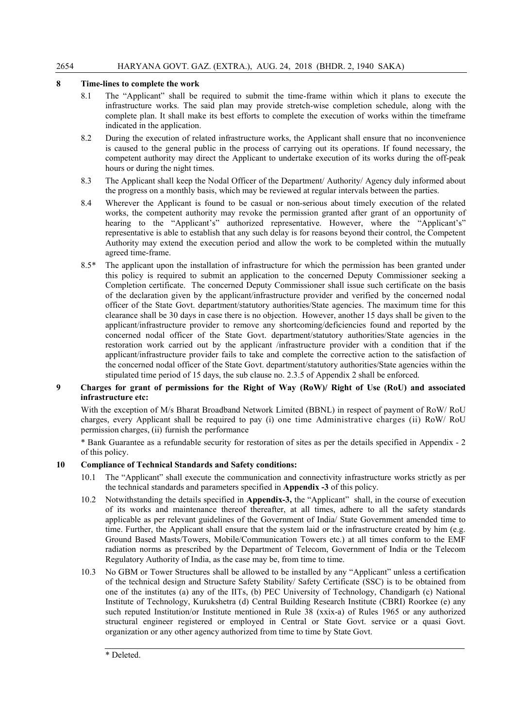### 8 Time-lines to complete the work

- 8.1 The "Applicant" shall be required to submit the time-frame within which it plans to execute the infrastructure works. The said plan may provide stretch-wise completion schedule, along with the complete plan. It shall make its best efforts to complete the execution of works within the timeframe indicated in the application.
- 8.2 During the execution of related infrastructure works, the Applicant shall ensure that no inconvenience is caused to the general public in the process of carrying out its operations. If found necessary, the competent authority may direct the Applicant to undertake execution of its works during the off-peak hours or during the night times.
- 8.3 The Applicant shall keep the Nodal Officer of the Department/ Authority/ Agency duly informed about the progress on a monthly basis, which may be reviewed at regular intervals between the parties.
- 8.4 Wherever the Applicant is found to be casual or non-serious about timely execution of the related works, the competent authority may revoke the permission granted after grant of an opportunity of hearing to the "Applicant's" authorized representative. However, where the "Applicant's" representative is able to establish that any such delay is for reasons beyond their control, the Competent Authority may extend the execution period and allow the work to be completed within the mutually agreed time-frame.
- 8.5\* The applicant upon the installation of infrastructure for which the permission has been granted under this policy is required to submit an application to the concerned Deputy Commissioner seeking a Completion certificate. The concerned Deputy Commissioner shall issue such certificate on the basis of the declaration given by the applicant/infrastructure provider and verified by the concerned nodal officer of the State Govt. department/statutory authorities/State agencies. The maximum time for this clearance shall be 30 days in case there is no objection. However, another 15 days shall be given to the applicant/infrastructure provider to remove any shortcoming/deficiencies found and reported by the concerned nodal officer of the State Govt. department/statutory authorities/State agencies in the restoration work carried out by the applicant /infrastructure provider with a condition that if the applicant/infrastructure provider fails to take and complete the corrective action to the satisfaction of the concerned nodal officer of the State Govt. department/statutory authorities/State agencies within the stipulated time period of 15 days, the sub clause no. 2.3.5 of Appendix 2 shall be enforced.

#### 9 Charges for grant of permissions for the Right of Way (RoW)/ Right of Use (RoU) and associated infrastructure etc:

With the exception of M/s Bharat Broadband Network Limited (BBNL) in respect of payment of RoW/ RoU charges, every Applicant shall be required to pay (i) one time Administrative charges (ii) RoW/ RoU permission charges, (ii) furnish the performance

\* Bank Guarantee as a refundable security for restoration of sites as per the details specified in Appendix - 2 of this policy.

#### 10 Compliance of Technical Standards and Safety conditions:

- 10.1 The "Applicant" shall execute the communication and connectivity infrastructure works strictly as per the technical standards and parameters specified in Appendix -3 of this policy.
- 10.2 Notwithstanding the details specified in Appendix-3, the "Applicant" shall, in the course of execution of its works and maintenance thereof thereafter, at all times, adhere to all the safety standards applicable as per relevant guidelines of the Government of India/ State Government amended time to time. Further, the Applicant shall ensure that the system laid or the infrastructure created by him (e.g. Ground Based Masts/Towers, Mobile/Communication Towers etc.) at all times conform to the EMF radiation norms as prescribed by the Department of Telecom, Government of India or the Telecom Regulatory Authority of India, as the case may be, from time to time.
- 10.3 No GBM or Tower Structures shall be allowed to be installed by any "Applicant" unless a certification of the technical design and Structure Safety Stability/ Safety Certificate (SSC) is to be obtained from one of the institutes (a) any of the IITs, (b) PEC University of Technology, Chandigarh (c) National Institute of Technology, Kurukshetra (d) Central Building Research Institute (CBRI) Roorkee (e) any such reputed Institution/or Institute mentioned in Rule 38 (xxix-a) of Rules 1965 or any authorized structural engineer registered or employed in Central or State Govt. service or a quasi Govt. organization or any other agency authorized from time to time by State Govt.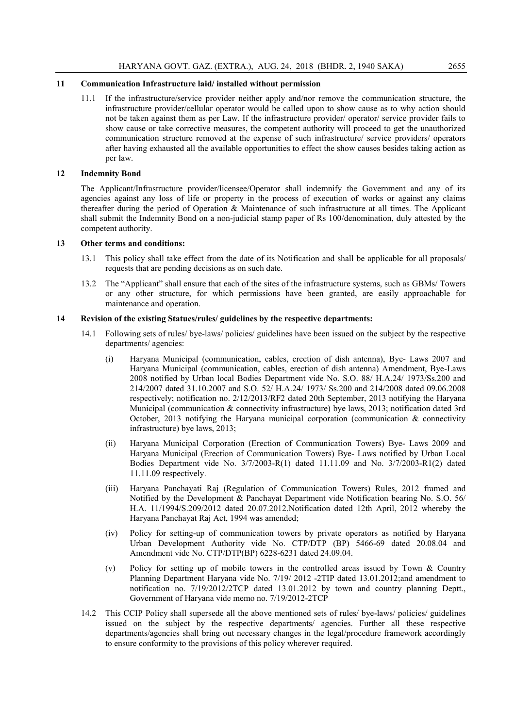#### 11 Communication Infrastructure laid/ installed without permission

11.1 If the infrastructure/service provider neither apply and/nor remove the communication structure, the infrastructure provider/cellular operator would be called upon to show cause as to why action should not be taken against them as per Law. If the infrastructure provider/ operator/ service provider fails to show cause or take corrective measures, the competent authority will proceed to get the unauthorized communication structure removed at the expense of such infrastructure/ service providers/ operators after having exhausted all the available opportunities to effect the show causes besides taking action as per law.

#### 12 Indemnity Bond

The Applicant/Infrastructure provider/licensee/Operator shall indemnify the Government and any of its agencies against any loss of life or property in the process of execution of works or against any claims thereafter during the period of Operation & Maintenance of such infrastructure at all times. The Applicant shall submit the Indemnity Bond on a non-judicial stamp paper of Rs 100/denomination, duly attested by the competent authority.

#### 13 Other terms and conditions:

- 13.1 This policy shall take effect from the date of its Notification and shall be applicable for all proposals/ requests that are pending decisions as on such date.
- 13.2 The "Applicant" shall ensure that each of the sites of the infrastructure systems, such as GBMs/ Towers or any other structure, for which permissions have been granted, are easily approachable for maintenance and operation.

#### 14 Revision of the existing Statues/rules/ guidelines by the respective departments:

- 14.1 Following sets of rules/ bye-laws/ policies/ guidelines have been issued on the subject by the respective departments/ agencies:
	- (i) Haryana Municipal (communication, cables, erection of dish antenna), Bye- Laws 2007 and Haryana Municipal (communication, cables, erection of dish antenna) Amendment, Bye-Laws 2008 notified by Urban local Bodies Department vide No. S.O. 88/ H.A.24/ 1973/Ss.200 and 214/2007 dated 31.10.2007 and S.O. 52/ H.A.24/ 1973/ Ss.200 and 214/2008 dated 09.06.2008 respectively; notification no. 2/12/2013/RF2 dated 20th September, 2013 notifying the Haryana Municipal (communication & connectivity infrastructure) bye laws, 2013; notification dated 3rd October, 2013 notifying the Haryana municipal corporation (communication  $\&$  connectivity infrastructure) bye laws, 2013;
	- (ii) Haryana Municipal Corporation (Erection of Communication Towers) Bye- Laws 2009 and Haryana Municipal (Erection of Communication Towers) Bye- Laws notified by Urban Local Bodies Department vide No. 3/7/2003-R(1) dated 11.11.09 and No. 3/7/2003-R1(2) dated 11.11.09 respectively.
	- (iii) Haryana Panchayati Raj (Regulation of Communication Towers) Rules, 2012 framed and Notified by the Development & Panchayat Department vide Notification bearing No. S.O. 56/ H.A. 11/1994/S.209/2012 dated 20.07.2012.Notification dated 12th April, 2012 whereby the Haryana Panchayat Raj Act, 1994 was amended;
	- (iv) Policy for setting-up of communication towers by private operators as notified by Haryana Urban Development Authority vide No. CTP/DTP (BP) 5466-69 dated 20.08.04 and Amendment vide No. CTP/DTP(BP) 6228-6231 dated 24.09.04.
	- (v) Policy for setting up of mobile towers in the controlled areas issued by Town & Country Planning Department Haryana vide No. 7/19/ 2012 -2TIP dated 13.01.2012;and amendment to notification no. 7/19/2012/2TCP dated 13.01.2012 by town and country planning Deptt., Government of Haryana vide memo no. 7/19/2012-2TCP
- 14.2 This CCIP Policy shall supersede all the above mentioned sets of rules/ bye-laws/ policies/ guidelines issued on the subject by the respective departments/ agencies. Further all these respective departments/agencies shall bring out necessary changes in the legal/procedure framework accordingly to ensure conformity to the provisions of this policy wherever required.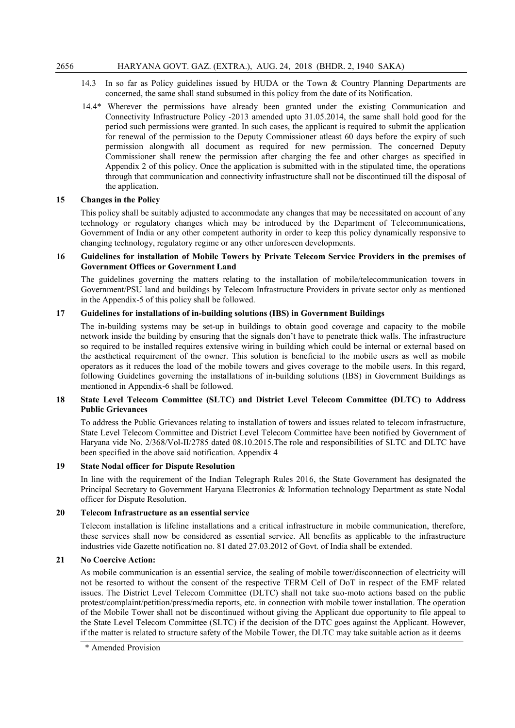- 14.3 In so far as Policy guidelines issued by HUDA or the Town & Country Planning Departments are concerned, the same shall stand subsumed in this policy from the date of its Notification.
- 14.4\* Wherever the permissions have already been granted under the existing Communication and Connectivity Infrastructure Policy -2013 amended upto 31.05.2014, the same shall hold good for the period such permissions were granted. In such cases, the applicant is required to submit the application for renewal of the permission to the Deputy Commissioner atleast 60 days before the expiry of such permission alongwith all document as required for new permission. The concerned Deputy Commissioner shall renew the permission after charging the fee and other charges as specified in Appendix 2 of this policy. Once the application is submitted with in the stipulated time, the operations through that communication and connectivity infrastructure shall not be discontinued till the disposal of the application.

#### 15 Changes in the Policy

This policy shall be suitably adjusted to accommodate any changes that may be necessitated on account of any technology or regulatory changes which may be introduced by the Department of Telecommunications, Government of India or any other competent authority in order to keep this policy dynamically responsive to changing technology, regulatory regime or any other unforeseen developments.

#### 16 Guidelines for installation of Mobile Towers by Private Telecom Service Providers in the premises of Government Offices or Government Land

The guidelines governing the matters relating to the installation of mobile/telecommunication towers in Government/PSU land and buildings by Telecom Infrastructure Providers in private sector only as mentioned in the Appendix-5 of this policy shall be followed.

#### 17 Guidelines for installations of in-building solutions (IBS) in Government Buildings

The in-building systems may be set-up in buildings to obtain good coverage and capacity to the mobile network inside the building by ensuring that the signals don't have to penetrate thick walls. The infrastructure so required to be installed requires extensive wiring in building which could be internal or external based on the aesthetical requirement of the owner. This solution is beneficial to the mobile users as well as mobile operators as it reduces the load of the mobile towers and gives coverage to the mobile users. In this regard, following Guidelines governing the installations of in-building solutions (IBS) in Government Buildings as mentioned in Appendix-6 shall be followed.

#### 18 State Level Telecom Committee (SLTC) and District Level Telecom Committee (DLTC) to Address Public Grievances

To address the Public Grievances relating to installation of towers and issues related to telecom infrastructure, State Level Telecom Committee and District Level Telecom Committee have been notified by Government of Haryana vide No. 2/368/Vol-II/2785 dated 08.10.2015.The role and responsibilities of SLTC and DLTC have been specified in the above said notification. Appendix 4

#### 19 State Nodal officer for Dispute Resolution

In line with the requirement of the Indian Telegraph Rules 2016, the State Government has designated the Principal Secretary to Government Haryana Electronics & Information technology Department as state Nodal officer for Dispute Resolution.

#### 20 Telecom Infrastructure as an essential service

Telecom installation is lifeline installations and a critical infrastructure in mobile communication, therefore, these services shall now be considered as essential service. All benefits as applicable to the infrastructure industries vide Gazette notification no. 81 dated 27.03.2012 of Govt. of India shall be extended.

#### 21 No Coercive Action:

As mobile communication is an essential service, the sealing of mobile tower/disconnection of electricity will not be resorted to without the consent of the respective TERM Cell of DoT in respect of the EMF related issues. The District Level Telecom Committee (DLTC) shall not take suo-moto actions based on the public protest/complaint/petition/press/media reports, etc. in connection with mobile tower installation. The operation of the Mobile Tower shall not be discontinued without giving the Applicant due opportunity to file appeal to the State Level Telecom Committee (SLTC) if the decision of the DTC goes against the Applicant. However, if the matter is related to structure safety of the Mobile Tower, the DLTC may take suitable action as it deems

 <sup>\*</sup> Amended Provision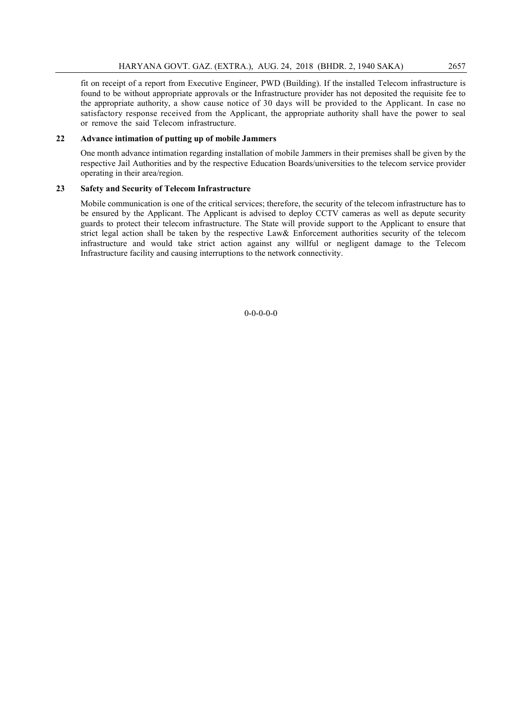fit on receipt of a report from Executive Engineer, PWD (Building). If the installed Telecom infrastructure is found to be without appropriate approvals or the Infrastructure provider has not deposited the requisite fee to the appropriate authority, a show cause notice of 30 days will be provided to the Applicant. In case no satisfactory response received from the Applicant, the appropriate authority shall have the power to seal or remove the said Telecom infrastructure.

#### 22 Advance intimation of putting up of mobile Jammers

One month advance intimation regarding installation of mobile Jammers in their premises shall be given by the respective Jail Authorities and by the respective Education Boards/universities to the telecom service provider operating in their area/region.

#### 23 Safety and Security of Telecom Infrastructure

Mobile communication is one of the critical services; therefore, the security of the telecom infrastructure has to be ensured by the Applicant. The Applicant is advised to deploy CCTV cameras as well as depute security guards to protect their telecom infrastructure. The State will provide support to the Applicant to ensure that strict legal action shall be taken by the respective Law& Enforcement authorities security of the telecom infrastructure and would take strict action against any willful or negligent damage to the Telecom Infrastructure facility and causing interruptions to the network connectivity.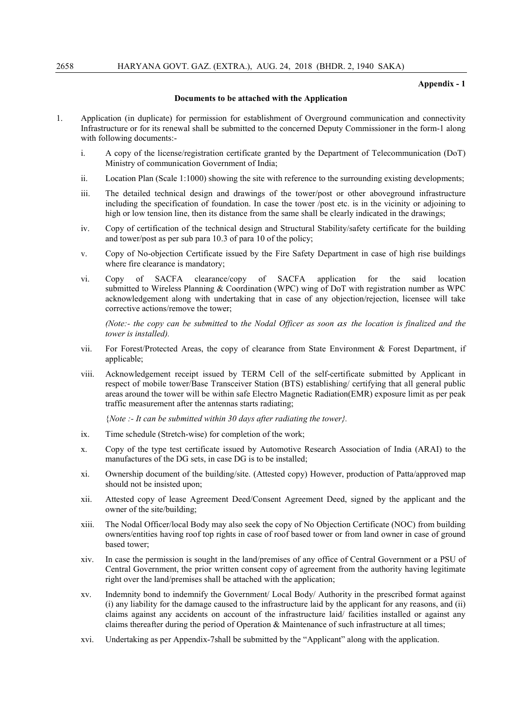#### Appendix - 1

#### Documents to be attached with the Application

- 1. Application (in duplicate) for permission for establishment of Overground communication and connectivity Infrastructure or for its renewal shall be submitted to the concerned Deputy Commissioner in the form-1 along with following documents:
	- i. A copy of the license/registration certificate granted by the Department of Telecommunication (DoT) Ministry of communication Government of India;
	- ii. Location Plan (Scale 1:1000) showing the site with reference to the surrounding existing developments;
	- iii. The detailed technical design and drawings of the tower/post or other aboveground infrastructure including the specification of foundation. In case the tower /post etc. is in the vicinity or adjoining to high or low tension line, then its distance from the same shall be clearly indicated in the drawings;
	- iv. Copy of certification of the technical design and Structural Stability/safety certificate for the building and tower/post as per sub para 10.3 of para 10 of the policy;
	- v. Copy of No-objection Certificate issued by the Fire Safety Department in case of high rise buildings where fire clearance is mandatory;
	- vi. Copy of SACFA clearance/copy of SACFA application for the said location submitted to Wireless Planning & Coordination (WPC) wing of DoT with registration number as WPC acknowledgement along with undertaking that in case of any objection/rejection, licensee will take corrective actions/remove the tower;

*(Note:- the copy can be submitted* to *the Nodal Officer as soon as the location is finalized and the tower is installed).*

- vii. For Forest/Protected Areas, the copy of clearance from State Environment & Forest Department, if applicable;
- viii. Acknowledgement receipt issued by TERM Cell of the self-certificate submitted by Applicant in respect of mobile tower/Base Transceiver Station (BTS) establishing/ certifying that all general public areas around the tower will be within safe Electro Magnetic Radiation(EMR) exposure limit as per peak traffic measurement after the antennas starts radiating;

{*Note :- It can be submitted within 30 days after radiating the tower}.*

- ix. Time schedule (Stretch-wise) for completion of the work;
- x. Copy of the type test certificate issued by Automotive Research Association of India (ARAI) to the manufactures of the DG sets, in case DG is to be installed;
- xi. Ownership document of the building/site. (Attested copy) However, production of Patta/approved map should not be insisted upon;
- xii. Attested copy of lease Agreement Deed/Consent Agreement Deed, signed by the applicant and the owner of the site/building;
- xiii. The Nodal Officer/local Body may also seek the copy of No Objection Certificate (NOC) from building owners/entities having roof top rights in case of roof based tower or from land owner in case of ground based tower;
- xiv. In case the permission is sought in the land/premises of any office of Central Government or a PSU of Central Government, the prior written consent copy of agreement from the authority having legitimate right over the land/premises shall be attached with the application;
- xv. Indemnity bond to indemnify the Government/ Local Body/ Authority in the prescribed format against (i) any liability for the damage caused to the infrastructure laid by the applicant for any reasons, and (ii) claims against any accidents on account of the infrastructure laid/ facilities installed or against any claims thereafter during the period of Operation  $\&$  Maintenance of such infrastructure at all times;
- xvi. Undertaking as per Appendix-7shall be submitted by the "Applicant" along with the application.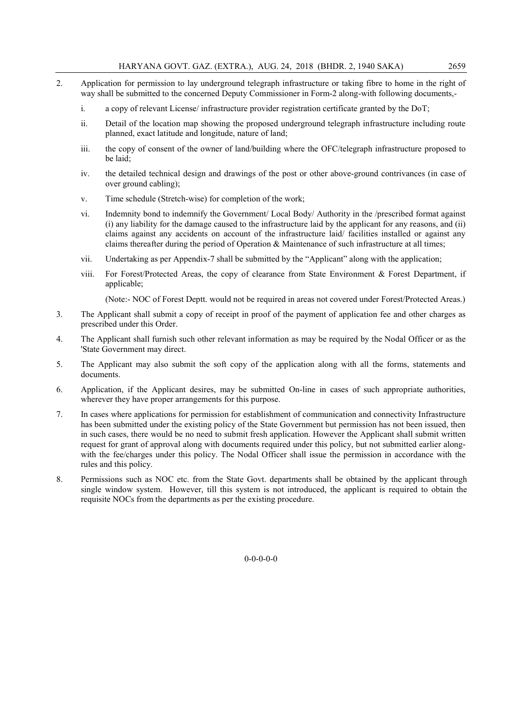- 2. Application for permission to lay underground telegraph infrastructure or taking fibre to home in the right of way shall be submitted to the concerned Deputy Commissioner in Form-2 along-with following documents,
	- i. a copy of relevant License/ infrastructure provider registration certificate granted by the DoT;
	- ii. Detail of the location map showing the proposed underground telegraph infrastructure including route planned, exact latitude and longitude, nature of land;
	- iii. the copy of consent of the owner of land/building where the OFC/telegraph infrastructure proposed to be laid;
	- iv. the detailed technical design and drawings of the post or other above-ground contrivances (in case of over ground cabling);
	- v. Time schedule (Stretch-wise) for completion of the work;
	- vi. Indemnity bond to indemnify the Government/ Local Body/ Authority in the /prescribed format against (i) any liability for the damage caused to the infrastructure laid by the applicant for any reasons, and (ii) claims against any accidents on account of the infrastructure laid/ facilities installed or against any claims thereafter during the period of Operation & Maintenance of such infrastructure at all times;
	- vii. Undertaking as per Appendix-7 shall be submitted by the "Applicant" along with the application;
	- viii. For Forest/Protected Areas, the copy of clearance from State Environment & Forest Department, if applicable:

(Note:- NOC of Forest Deptt. would not be required in areas not covered under Forest/Protected Areas.)

- 3. The Applicant shall submit a copy of receipt in proof of the payment of application fee and other charges as prescribed under this Order.
- 4. The Applicant shall furnish such other relevant information as may be required by the Nodal Officer or as the 'State Government may direct.
- 5. The Applicant may also submit the soft copy of the application along with all the forms, statements and documents.
- 6. Application, if the Applicant desires, may be submitted On-line in cases of such appropriate authorities, wherever they have proper arrangements for this purpose.
- 7. In cases where applications for permission for establishment of communication and connectivity Infrastructure has been submitted under the existing policy of the State Government but permission has not been issued, then in such cases, there would be no need to submit fresh application. However the Applicant shall submit written request for grant of approval along with documents required under this policy, but not submitted earlier alongwith the fee/charges under this policy. The Nodal Officer shall issue the permission in accordance with the rules and this policy.
- 8. Permissions such as NOC etc. from the State Govt. departments shall be obtained by the applicant through single window system. However, till this system is not introduced, the applicant is required to obtain the requisite NOCs from the departments as per the existing procedure.

 $0 - 0 - 0 - 0$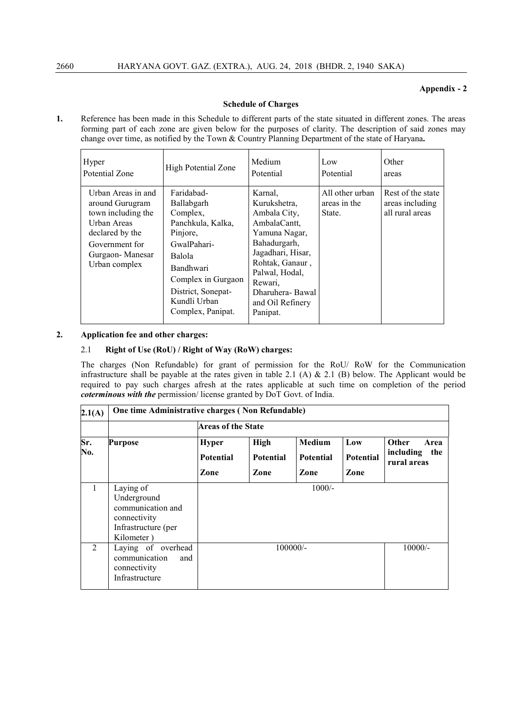#### Appendix - 2

#### Schedule of Charges

1. Reference has been made in this Schedule to different parts of the state situated in different zones. The areas forming part of each zone are given below for the purposes of clarity. The description of said zones may change over time, as notified by the Town & Country Planning Department of the state of Haryana.

| Hyper                                                                                                                                               | <b>High Potential Zone</b>                                                                                                                                                                   | Medium                                                                                                                                                                                                           | Low                                       | Other                                                   |
|-----------------------------------------------------------------------------------------------------------------------------------------------------|----------------------------------------------------------------------------------------------------------------------------------------------------------------------------------------------|------------------------------------------------------------------------------------------------------------------------------------------------------------------------------------------------------------------|-------------------------------------------|---------------------------------------------------------|
| Potential Zone                                                                                                                                      |                                                                                                                                                                                              | Potential                                                                                                                                                                                                        | Potential                                 | areas                                                   |
| Urban Areas in and<br>around Gurugram<br>town including the<br>Urban Areas<br>declared by the<br>Government for<br>Gurgaon-Manesar<br>Urban complex | Faridabad-<br>Ballabgarh<br>Complex,<br>Panchkula, Kalka,<br>Pinjore,<br>GwalPahari-<br>Balola<br>Bandhwari<br>Complex in Gurgaon<br>District, Sonepat-<br>Kundli Urban<br>Complex, Panipat. | Karnal.<br>Kurukshetra,<br>Ambala City,<br>AmbalaCantt,<br>Yamuna Nagar,<br>Bahadurgarh,<br>Jagadhari, Hisar,<br>Rohtak, Ganaur,<br>Palwal, Hodal,<br>Rewari.<br>Dharuhera-Bawal<br>and Oil Refinery<br>Panipat. | All other urban<br>areas in the<br>State. | Rest of the state<br>areas including<br>all rural areas |

#### 2. Application fee and other charges:

#### 2.1 Right of Use (RoU) / Right of Way (RoW) charges:

The charges (Non Refundable) for grant of permission for the RoU/ RoW for the Communication infrastructure shall be payable at the rates given in table 2.1 (A) & 2.1 (B) below. The Applicant would be required to pay such charges afresh at the rates applicable at such time on completion of the period *coterminous with the* permission/ license granted by DoT Govt. of India.

| 2.1(A)         |                                                                                                    | One time Administrative charges (Non Refundable) |                                         |                                           |                                 |                                                         |
|----------------|----------------------------------------------------------------------------------------------------|--------------------------------------------------|-----------------------------------------|-------------------------------------------|---------------------------------|---------------------------------------------------------|
|                |                                                                                                    |                                                  | <b>Areas of the State</b>               |                                           |                                 |                                                         |
| Sr.<br>No.     | <b>Purpose</b>                                                                                     | <b>Hyper</b><br><b>Potential</b><br>Zone         | <b>High</b><br><b>Potential</b><br>Zone | <b>Medium</b><br><b>Potential</b><br>Zone | Low<br><b>Potential</b><br>Zone | <b>Other</b><br>Area<br>including<br>the<br>rural areas |
| $\mathbf{1}$   | Laying of<br>Underground<br>communication and<br>connectivity<br>Infrastructure (per<br>Kilometer) | $1000/-$                                         |                                         |                                           |                                 |                                                         |
| $\mathfrak{D}$ | Laying of overhead<br>communication<br>and<br>connectivity<br>Infrastructure                       |                                                  | $100000/-$                              |                                           |                                 | $10000/-$                                               |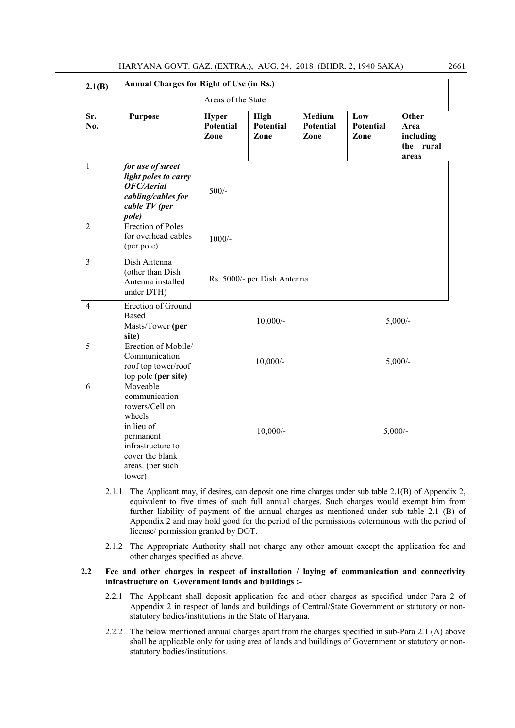| 2.1(B)         | <b>Annual Charges for Right of Use (in Rs.)</b>                                                                                                        |                            |                                  |                                    |                                 |                                                  |
|----------------|--------------------------------------------------------------------------------------------------------------------------------------------------------|----------------------------|----------------------------------|------------------------------------|---------------------------------|--------------------------------------------------|
|                |                                                                                                                                                        |                            | Areas of the State               |                                    |                                 |                                                  |
| Sr.<br>No.     | <b>Purpose</b>                                                                                                                                         | Hyper<br>Potential<br>Zone | <b>High</b><br>Potential<br>Zone | Medium<br><b>Potential</b><br>Zone | Low<br><b>Potential</b><br>Zone | Other<br>Area<br>including<br>the rural<br>areas |
| $\mathbf{1}$   | for use of street<br>light poles to carry<br>OFC/Aerial<br>cabling/cables for<br>cable TV (per<br>pole)                                                | $500/-$                    |                                  |                                    |                                 |                                                  |
| $\overline{2}$ | <b>Erection of Poles</b><br>for overhead cables<br>(per pole)                                                                                          | $1000/-$                   |                                  |                                    |                                 |                                                  |
| $\overline{3}$ | Dish Antenna<br>(other than Dish<br>Antenna installed<br>under DTH)                                                                                    |                            | Rs. 5000/- per Dish Antenna      |                                    |                                 |                                                  |
| $\overline{4}$ | Erection of Ground<br><b>Based</b><br>Masts/Tower (per<br>site)                                                                                        |                            | $10,000/-$                       |                                    |                                 | $5,000/$ -                                       |
| 5              | Erection of Mobile/<br>Communication<br>roof top tower/roof<br>top pole (per site)                                                                     |                            | $10,000/-$                       |                                    |                                 | $5,000/-$                                        |
| 6              | Moveable<br>communication<br>towers/Cell on<br>wheels<br>in lieu of<br>permanent<br>infrastructure to<br>cover the blank<br>areas. (per such<br>tower) |                            | $10,000/-$                       |                                    |                                 | $5,000/-$                                        |

- 2.1.1 The Applicant may, if desires, can deposit one time charges under sub table 2.1(B) of Appendix 2, equivalent to five times of such full annual charges. Such charges would exempt him from further liability of payment of the annual charges as mentioned under sub table 2.1 (B) of Appendix 2 and may hold good for the period of the permissions coterminous with the period of license/ permission granted by DOT.
- 2.1.2 The Appropriate Authority shall not charge any other amount except the application fee and other charges specified as above.

#### 2.2 Fee and other charges in respect of installation / laying of communication and connectivity infrastructure on Government lands and buildings :-

- 2.2.1 The Applicant shall deposit application fee and other charges as specified under Para 2 of Appendix 2 in respect of lands and buildings of Central/State Government or statutory or nonstatutory bodies/institutions in the State of Haryana.
- 2.2.2 The below mentioned annual charges apart from the charges specified in sub-Para 2.1 (A) above shall be applicable only for using area of lands and buildings of Government or statutory or nonstatutory bodies/institutions.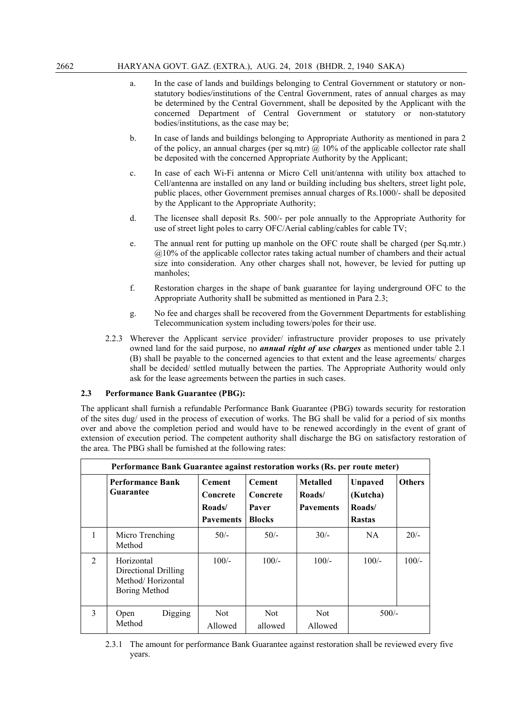- a. In the case of lands and buildings belonging to Central Government or statutory or nonstatutory bodies/institutions of the Central Government, rates of annual charges as may be determined by the Central Government, shall be deposited by the Applicant with the concerned Department of Central Government or statutory or non-statutory bodies/institutions, as the case may be;
- b. In case of lands and buildings belonging to Appropriate Authority as mentioned in para 2 of the policy, an annual charges (per sq.mtr)  $\omega$  10% of the applicable collector rate shall be deposited with the concerned Appropriate Authority by the Applicant;
- c. In case of each Wi-Fi antenna or Micro Cell unit/antenna with utility box attached to Cell/antenna are installed on any land or building including bus shelters, street light pole, public places, other Government premises annual charges of Rs.1000/- shall be deposited by the Applicant to the Appropriate Authority;
- d. The licensee shall deposit Rs. 500/- per pole annually to the Appropriate Authority for use of street light poles to carry OFC/Aerial cabling/cables for cable TV;
- e. The annual rent for putting up manhole on the OFC route shall be charged (per Sq.mtr.) @10% of the applicable collector rates taking actual number of chambers and their actual size into consideration. Any other charges shall not, however, be levied for putting up manholes;
- f. Restoration charges in the shape of bank guarantee for laying underground OFC to the Appropriate Authority shaII be submitted as mentioned in Para 2.3;
- g. No fee and charges shall be recovered from the Government Departments for establishing Telecommunication system including towers/poles for their use.
- 2.2.3 Wherever the Applicant service provider/ infrastructure provider proposes to use privately owned land for the said purpose, no *annual right of use charges* as mentioned under table 2.1 (B) shall be payable to the concerned agencies to that extent and the lease agreements/ charges shall be decided/ settled mutually between the parties. The Appropriate Authority would only ask for the lease agreements between the parties in such cases.

#### 2.3 Performance Bank Guarantee (PBG):

The applicant shall furnish a refundable Performance Bank Guarantee (PBG) towards security for restoration of the sites dug/ used in the process of execution of works. The BG shall be valid for a period of six months over and above the completion period and would have to be renewed accordingly in the event of grant of extension of execution period. The competent authority shall discharge the BG on satisfactory restoration of the area. The PBG shall be furnished at the following rates:

|                | Performance Bank Guarantee against restoration works (Rs. per route meter) |                                                         |                                                     |                                               |                                                       |               |
|----------------|----------------------------------------------------------------------------|---------------------------------------------------------|-----------------------------------------------------|-----------------------------------------------|-------------------------------------------------------|---------------|
|                | Performance Bank<br>Guarantee                                              | <b>Cement</b><br>Concrete<br>Roads/<br><b>Pavements</b> | <b>Cement</b><br>Concrete<br>Paver<br><b>Blocks</b> | <b>Metalled</b><br>Roads/<br><b>Pavements</b> | <b>Unpaved</b><br>(Kutcha)<br>Roads/<br><b>Rastas</b> | <b>Others</b> |
| $\mathbf{1}$   | Micro Trenching<br>Method                                                  | $50/-$                                                  | $50/-$                                              | $30/-$                                        | NA.                                                   | $20/-$        |
| $\overline{2}$ | Horizontal<br>Directional Drilling<br>Method/Horizontal<br>Boring Method   | $100/-$                                                 | $100/-$                                             | $100/-$                                       | $100/-$                                               | $100/-$       |
| 3              | Digging<br>Open<br>Method                                                  | Not<br>Allowed                                          | <b>Not</b><br>allowed                               | <b>Not</b><br>Allowed                         | $500/-$                                               |               |

2.3.1 The amount for performance Bank Guarantee against restoration shall be reviewed every five years.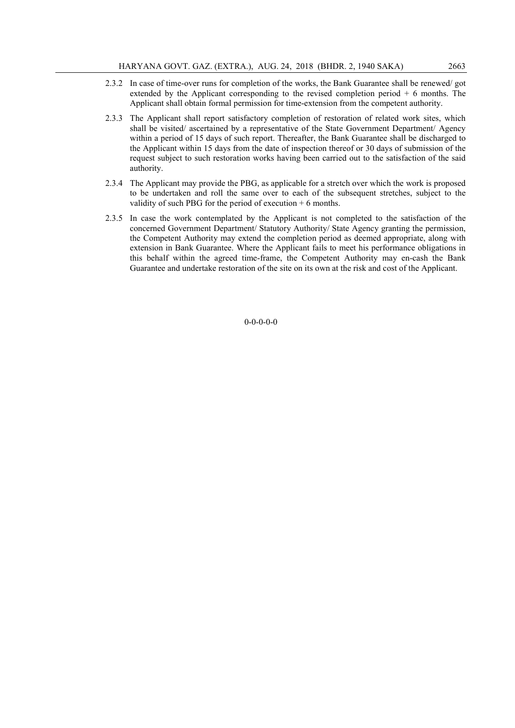- 2.3.2 In case of time-over runs for completion of the works, the Bank Guarantee shall be renewed/ got extended by the Applicant corresponding to the revised completion period + 6 months. The Applicant shall obtain formal permission for time-extension from the competent authority.
- 2.3.3 The Applicant shall report satisfactory completion of restoration of related work sites, which shall be visited/ ascertained by a representative of the State Government Department/ Agency within a period of 15 days of such report. Thereafter, the Bank Guarantee shall be discharged to the Applicant within 15 days from the date of inspection thereof or 30 days of submission of the request subject to such restoration works having been carried out to the satisfaction of the said authority.
- 2.3.4 The Applicant may provide the PBG, as applicable for a stretch over which the work is proposed to be undertaken and roll the same over to each of the subsequent stretches, subject to the validity of such PBG for the period of execution + 6 months.
- 2.3.5 In case the work contemplated by the Applicant is not completed to the satisfaction of the concerned Government Department/ Statutory Authority/ State Agency granting the permission, the Competent Authority may extend the completion period as deemed appropriate, along with extension in Bank Guarantee. Where the Applicant fails to meet his performance obligations in this behalf within the agreed time-frame, the Competent Authority may en-cash the Bank Guarantee and undertake restoration of the site on its own at the risk and cost of the Applicant.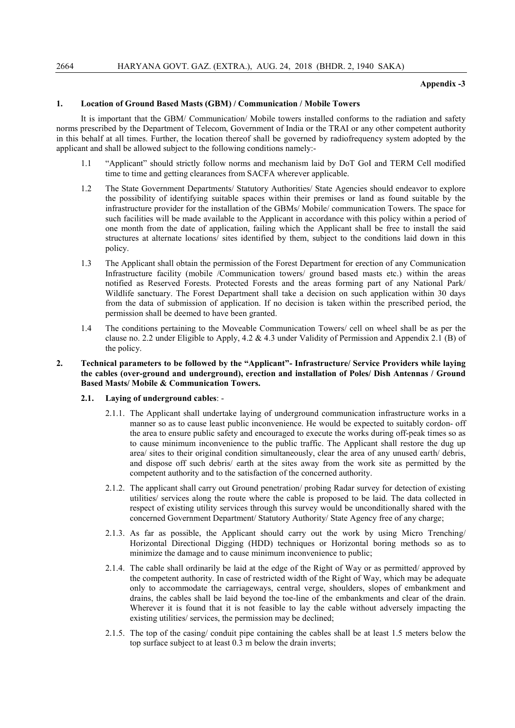#### Appendix -3

#### 1. Location of Ground Based Masts (GBM) / Communication / Mobile Towers

It is important that the GBM/ Communication/ Mobile towers installed conforms to the radiation and safety norms prescribed by the Department of Telecom, Government of India or the TRAI or any other competent authority in this behalf at all times. Further, the location thereof shall be governed by radiofrequency system adopted by the applicant and shall be allowed subject to the following conditions namely:-

- 1.1 "Applicant" should strictly follow norms and mechanism laid by DoT GoI and TERM Cell modified time to time and getting clearances from SACFA wherever applicable.
- 1.2 The State Government Departments/ Statutory Authorities/ State Agencies should endeavor to explore the possibility of identifying suitable spaces within their premises or land as found suitable by the infrastructure provider for the installation of the GBMs/ Mobile/ communication Towers. The space for such facilities will be made available to the Applicant in accordance with this policy within a period of one month from the date of application, failing which the Applicant shall be free to install the said structures at alternate locations/ sites identified by them, subject to the conditions laid down in this policy.
- 1.3 The Applicant shall obtain the permission of the Forest Department for erection of any Communication Infrastructure facility (mobile /Communication towers/ ground based masts etc.) within the areas notified as Reserved Forests. Protected Forests and the areas forming part of any National Park/ Wildlife sanctuary. The Forest Department shall take a decision on such application within 30 days from the data of submission of application. If no decision is taken within the prescribed period, the permission shall be deemed to have been granted.
- 1.4 The conditions pertaining to the Moveable Communication Towers/ cell on wheel shall be as per the clause no. 2.2 under Eligible to Apply, 4.2 & 4.3 under Validity of Permission and Appendix 2.1 (B) of the policy.

#### 2. Technical parameters to be followed by the "Applicant"- Infrastructure/ Service Providers while laying the cables (over-ground and underground), erection and installation of Poles/ Dish Antennas / Ground Based Masts/ Mobile & Communication Towers.

- 2.1. Laying of underground cables:
	- 2.1.1. The Applicant shall undertake laying of underground communication infrastructure works in a manner so as to cause least public inconvenience. He would be expected to suitably cordon- off the area to ensure public safety and encouraged to execute the works during off-peak times so as to cause minimum inconvenience to the public traffic. The Applicant shall restore the dug up area/ sites to their original condition simultaneously, clear the area of any unused earth/ debris, and dispose off such debris/ earth at the sites away from the work site as permitted by the competent authority and to the satisfaction of the concerned authority.
	- 2.1.2. The applicant shall carry out Ground penetration/ probing Radar survey for detection of existing utilities/ services along the route where the cable is proposed to be laid. The data collected in respect of existing utility services through this survey would be unconditionally shared with the concerned Government Department/ Statutory Authority/ State Agency free of any charge;
	- 2.1.3. As far as possible, the Applicant should carry out the work by using Micro Trenching/ Horizontal Directional Digging (HDD) techniques or Horizontal boring methods so as to minimize the damage and to cause minimum inconvenience to public;
	- 2.1.4. The cable shall ordinarily be laid at the edge of the Right of Way or as permitted/ approved by the competent authority. In case of restricted width of the Right of Way, which may be adequate only to accommodate the carriageways, central verge, shoulders, slopes of embankment and drains, the cables shall be laid beyond the toe-line of the embankments and clear of the drain. Wherever it is found that it is not feasible to lay the cable without adversely impacting the existing utilities/ services, the permission may be declined;
	- 2.1.5. The top of the casing/ conduit pipe containing the cables shall be at least 1.5 meters below the top surface subject to at least 0.3 m below the drain inverts;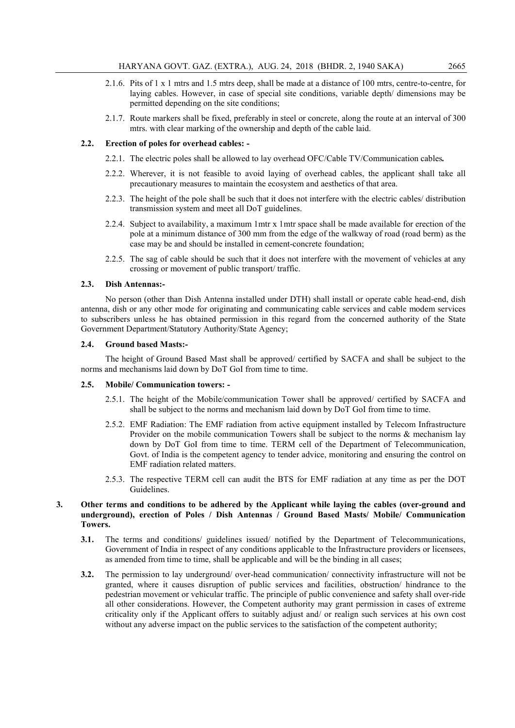- 2.1.6. Pits of 1 x 1 mtrs and 1.5 mtrs deep, shall be made at a distance of 100 mtrs, centre-to-centre, for laying cables. However, in case of special site conditions, variable depth/ dimensions may be permitted depending on the site conditions;
- 2.1.7. Route markers shall be fixed, preferably in steel or concrete, along the route at an interval of 300 mtrs. with clear marking of the ownership and depth of the cable laid.

#### 2.2. Erection of poles for overhead cables: -

- 2.2.1. The electric poles shall be allowed to lay overhead OFC/Cable TV/Communication cables*.*
- 2.2.2. Wherever, it is not feasible to avoid laying of overhead cables, the applicant shall take all precautionary measures to maintain the ecosystem and aesthetics of that area.
- 2.2.3. The height of the pole shall be such that it does not interfere with the electric cables/ distribution transmission system and meet all DoT guidelines.
- 2.2.4. Subject to availability, a maximum 1mtr x 1mtr space shall be made available for erection of the pole at a minimum distance of 300 mm from the edge of the walkway of road (road berm) as the case may be and should be installed in cement-concrete foundation;
- 2.2.5. The sag of cable should be such that it does not interfere with the movement of vehicles at any crossing or movement of public transport/ traffic.

#### 2.3. Dish Antennas:-

No person (other than Dish Antenna installed under DTH) shall install or operate cable head-end, dish antenna, dish or any other mode for originating and communicating cable services and cable modem services to subscribers unless he has obtained permission in this regard from the concerned authority of the State Government Department/Statutory Authority/State Agency;

#### 2.4. Ground based Masts:-

The height of Ground Based Mast shall be approved/ certified by SACFA and shall be subject to the norms and mechanisms laid down by DoT GoI from time to time.

#### 2.5. Mobile/ Communication towers: -

- 2.5.1. The height of the Mobile/communication Tower shall be approved/ certified by SACFA and shall be subject to the norms and mechanism laid down by DoT GoI from time to time.
- 2.5.2. EMF Radiation: The EMF radiation from active equipment installed by Telecom Infrastructure Provider on the mobile communication Towers shall be subject to the norms  $\&$  mechanism lay down by DoT GoI from time to time. TERM cell of the Department of Telecommunication, Govt. of India is the competent agency to tender advice, monitoring and ensuring the control on EMF radiation related matters.
- 2.5.3. The respective TERM cell can audit the BTS for EMF radiation at any time as per the DOT Guidelines.

#### 3. Other terms and conditions to be adhered by the Applicant while laying the cables (over-ground and underground), erection of Poles / Dish Antennas / Ground Based Masts/ Mobile/ Communication Towers.

- 3.1. The terms and conditions/ guidelines issued/ notified by the Department of Telecommunications, Government of India in respect of any conditions applicable to the Infrastructure providers or licensees, as amended from time to time, shall be applicable and will be the binding in all cases;
- 3.2. The permission to lay underground/ over-head communication/ connectivity infrastructure will not be granted, where it causes disruption of public services and facilities, obstruction/ hindrance to the pedestrian movement or vehicular traffic. The principle of public convenience and safety shall over-ride all other considerations. However, the Competent authority may grant permission in cases of extreme criticality only if the Applicant offers to suitably adjust and/ or realign such services at his own cost without any adverse impact on the public services to the satisfaction of the competent authority;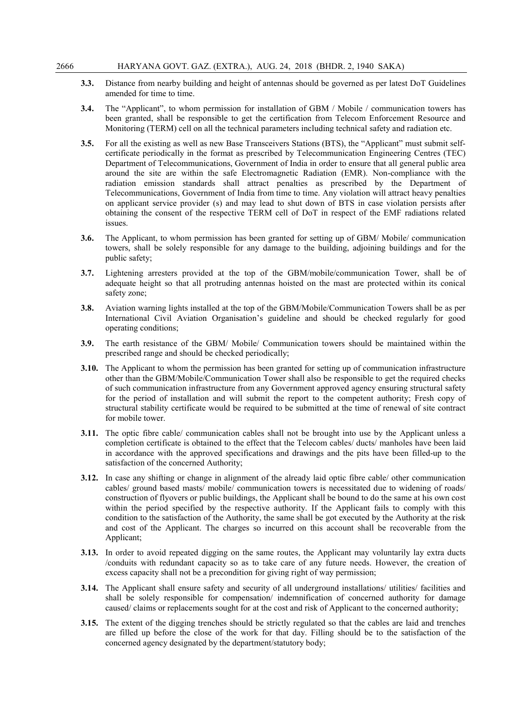- 3.3. Distance from nearby building and height of antennas should be governed as per latest DoT Guidelines amended for time to time.
- 3.4. The "Applicant", to whom permission for installation of GBM / Mobile / communication towers has been granted, shall be responsible to get the certification from Telecom Enforcement Resource and Monitoring (TERM) cell on all the technical parameters including technical safety and radiation etc.
- 3.5. For all the existing as well as new Base Transceivers Stations (BTS), the "Applicant" must submit selfcertificate periodically in the format as prescribed by Telecommunication Engineering Centres (TEC) Department of Telecommunications, Government of India in order to ensure that all general public area around the site are within the safe Electromagnetic Radiation (EMR). Non-compliance with the radiation emission standards shall attract penalties as prescribed by the Department of Telecommunications, Government of India from time to time. Any violation will attract heavy penalties on applicant service provider (s) and may lead to shut down of BTS in case violation persists after obtaining the consent of the respective TERM cell of DoT in respect of the EMF radiations related issues.
- 3.6. The Applicant, to whom permission has been granted for setting up of GBM/ Mobile/ communication towers, shall be solely responsible for any damage to the building, adjoining buildings and for the public safety;
- 3.7. Lightening arresters provided at the top of the GBM/mobile/communication Tower, shall be of adequate height so that all protruding antennas hoisted on the mast are protected within its conical safety zone;
- 3.8. Aviation warning lights installed at the top of the GBM/Mobile/Communication Towers shall be as per International Civil Aviation Organisation's guideline and should be checked regularly for good operating conditions;
- 3.9. The earth resistance of the GBM/ Mobile/ Communication towers should be maintained within the prescribed range and should be checked periodically;
- 3.10. The Applicant to whom the permission has been granted for setting up of communication infrastructure other than the GBM/Mobile/Communication Tower shall also be responsible to get the required checks of such communication infrastructure from any Government approved agency ensuring structural safety for the period of installation and will submit the report to the competent authority; Fresh copy of structural stability certificate would be required to be submitted at the time of renewal of site contract for mobile tower.
- 3.11. The optic fibre cable/ communication cables shall not be brought into use by the Applicant unless a completion certificate is obtained to the effect that the Telecom cables/ ducts/ manholes have been laid in accordance with the approved specifications and drawings and the pits have been filled-up to the satisfaction of the concerned Authority;
- 3.12. In case any shifting or change in alignment of the already laid optic fibre cable/ other communication cables/ ground based masts/ mobile/ communication towers is necessitated due to widening of roads/ construction of flyovers or public buildings, the Applicant shall be bound to do the same at his own cost within the period specified by the respective authority. If the Applicant fails to comply with this condition to the satisfaction of the Authority, the same shall be got executed by the Authority at the risk and cost of the Applicant. The charges so incurred on this account shall be recoverable from the Applicant;
- 3.13. In order to avoid repeated digging on the same routes, the Applicant may voluntarily lay extra ducts /conduits with redundant capacity so as to take care of any future needs. However, the creation of excess capacity shall not be a precondition for giving right of way permission;
- 3.14. The Applicant shall ensure safety and security of all underground installations/ utilities/ facilities and shall be solely responsible for compensation/ indemnification of concerned authority for damage caused/ claims or replacements sought for at the cost and risk of Applicant to the concerned authority;
- 3.15. The extent of the digging trenches should be strictly regulated so that the cables are laid and trenches are filled up before the close of the work for that day. Filling should be to the satisfaction of the concerned agency designated by the department/statutory body;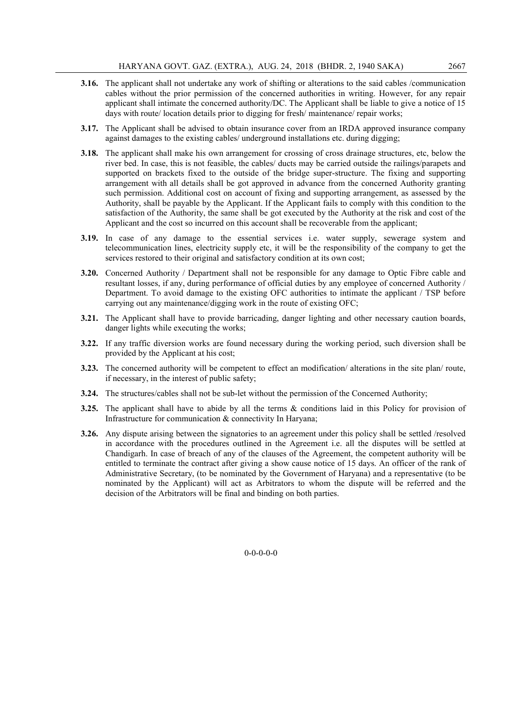- 3.16. The applicant shall not undertake any work of shifting or alterations to the said cables /communication cables without the prior permission of the concerned authorities in writing. However, for any repair applicant shall intimate the concerned authority/DC. The Applicant shall be liable to give a notice of 15 days with route/ location details prior to digging for fresh/ maintenance/ repair works;
- 3.17. The Applicant shall be advised to obtain insurance cover from an IRDA approved insurance company against damages to the existing cables/ underground installations etc. during digging;
- 3.18. The applicant shall make his own arrangement for crossing of cross drainage structures, etc, below the river bed. In case, this is not feasible, the cables/ ducts may be carried outside the railings/parapets and supported on brackets fixed to the outside of the bridge super-structure. The fixing and supporting arrangement with all details shall be got approved in advance from the concerned Authority granting such permission. Additional cost on account of fixing and supporting arrangement, as assessed by the Authority, shall be payable by the Applicant. If the Applicant fails to comply with this condition to the satisfaction of the Authority, the same shall be got executed by the Authority at the risk and cost of the Applicant and the cost so incurred on this account shall be recoverable from the applicant;
- 3.19. In case of any damage to the essential services i.e. water supply, sewerage system and telecommunication lines, electricity supply etc, it will be the responsibility of the company to get the services restored to their original and satisfactory condition at its own cost;
- 3.20. Concerned Authority / Department shall not be responsible for any damage to Optic Fibre cable and resultant losses, if any, during performance of official duties by any employee of concerned Authority / Department. To avoid damage to the existing OFC authorities to intimate the applicant / TSP before carrying out any maintenance/digging work in the route of existing OFC;
- 3.21. The Applicant shall have to provide barricading, danger lighting and other necessary caution boards, danger lights while executing the works;
- 3.22. If any traffic diversion works are found necessary during the working period, such diversion shall be provided by the Applicant at his cost;
- 3.23. The concerned authority will be competent to effect an modification/ alterations in the site plan/ route, if necessary, in the interest of public safety;
- 3.24. The structures/cables shall not be sub-let without the permission of the Concerned Authority;
- 3.25. The applicant shall have to abide by all the terms & conditions laid in this Policy for provision of Infrastructure for communication & connectivity In Haryana;
- 3.26. Any dispute arising between the signatories to an agreement under this policy shall be settled /resolved in accordance with the procedures outlined in the Agreement i.e. all the disputes will be settled at Chandigarh. In case of breach of any of the clauses of the Agreement, the competent authority will be entitled to terminate the contract after giving a show cause notice of 15 days. An officer of the rank of Administrative Secretary, (to be nominated by the Government of Haryana) and a representative (to be nominated by the Applicant) will act as Arbitrators to whom the dispute will be referred and the decision of the Arbitrators will be final and binding on both parties.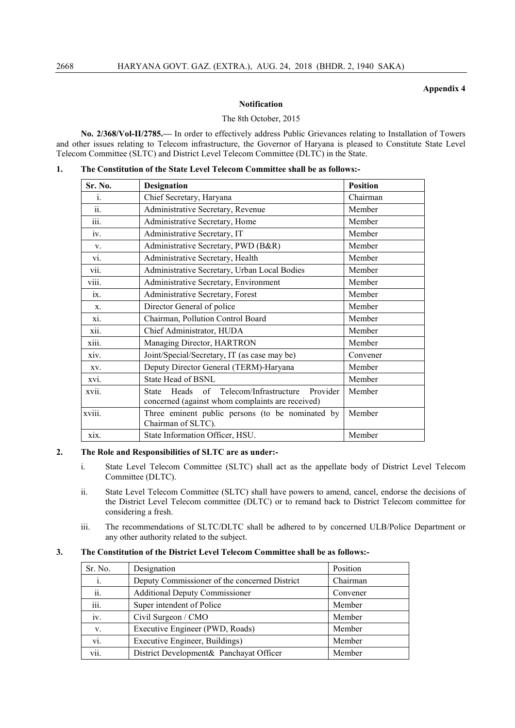#### Appendix 4

#### Notification

#### The 8th October, 2015

No. 2/368/Vol-II/2785.— In order to effectively address Public Grievances relating to Installation of Towers and other issues relating to Telecom infrastructure, the Governor of Haryana is pleased to Constitute State Level Telecom Committee (SLTC) and District Level Telecom Committee (DLTC) in the State.

|  |  |  |  |  | The Constitution of the State Level Telecom Committee shall be as follows:- |
|--|--|--|--|--|-----------------------------------------------------------------------------|
|--|--|--|--|--|-----------------------------------------------------------------------------|

| <b>Sr. No.</b>     | <b>Designation</b>                                                                                                 | <b>Position</b> |
|--------------------|--------------------------------------------------------------------------------------------------------------------|-----------------|
| 1.                 | Chief Secretary, Haryana                                                                                           | Chairman        |
| ii.                | Administrative Secretary, Revenue                                                                                  | Member          |
| iii.               | Administrative Secretary, Home                                                                                     | Member          |
| iv.                | Administrative Secretary, IT                                                                                       | Member          |
| V.                 | Administrative Secretary, PWD (B&R)                                                                                | Member          |
| VI.                | Administrative Secretary, Health                                                                                   | Member          |
| $\overline{vii}$ . | Administrative Secretary, Urban Local Bodies                                                                       | Member          |
| viii.              | Administrative Secretary, Environment                                                                              | Member          |
| ix.                | Administrative Secretary, Forest                                                                                   | Member          |
| X.                 | Director General of police                                                                                         | Member          |
| xi.                | Chairman, Pollution Control Board                                                                                  | Member          |
| xii.               | Chief Administrator, HUDA                                                                                          | Member          |
| xiii.              | Managing Director, HARTRON                                                                                         | Member          |
| xiv.               | Joint/Special/Secretary, IT (as case may be)                                                                       | Convener        |
| XV.                | Deputy Director General (TERM)-Haryana                                                                             | Member          |
| XV1.               | <b>State Head of BSNL</b>                                                                                          | Member          |
| xvii.              | of Telecom/Infrastructure<br>Provider<br>Heads<br><b>State</b><br>concerned (against whom complaints are received) | Member          |
| xviii.             | Three eminent public persons (to be nominated by<br>Chairman of SLTC).                                             | Member          |
| xix.               | State Information Officer, HSU.                                                                                    | Member          |

#### 2. The Role and Responsibilities of SLTC are as under:-

- i. State Level Telecom Committee (SLTC) shall act as the appellate body of District Level Telecom Committee (DLTC).
- ii. State Level Telecom Committee (SLTC) shall have powers to amend, cancel, endorse the decisions of the District Level Telecom committee (DLTC) or to remand back to District Telecom committee for considering a fresh.
- iii. The recommendations of SLTC/DLTC shall be adhered to by concerned ULB/Police Department or any other authority related to the subject.

#### 3. The Constitution of the District Level Telecom Committee shall be as follows:-

| Sr. No. | Designation                                   | Position |
|---------|-----------------------------------------------|----------|
| 1.      | Deputy Commissioner of the concerned District | Chairman |
| ii.     | <b>Additional Deputy Commissioner</b>         | Convener |
| iii.    | Super intendent of Police                     | Member   |
| iv.     | Civil Surgeon / CMO                           | Member   |
| V.      | Executive Engineer (PWD, Roads)               | Member   |
| vi.     | Executive Engineer, Buildings)                | Member   |
| vii.    | District Development& Panchayat Officer       | Member   |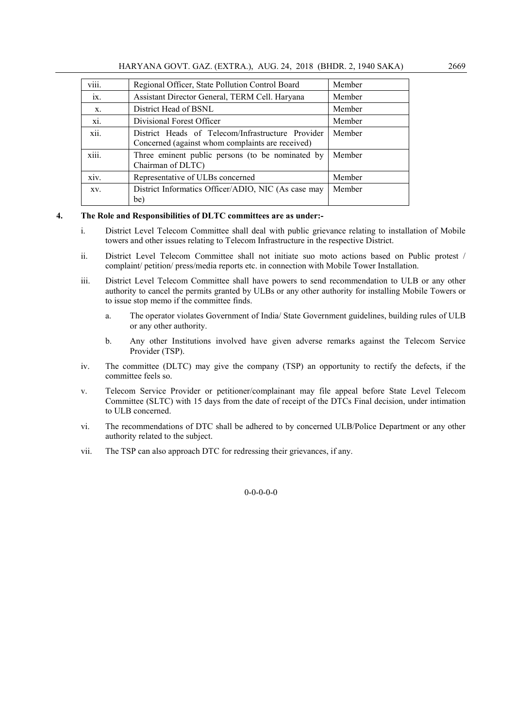| $\cdots$<br>V111.            | Regional Officer, State Pollution Control Board                                                       | Member |
|------------------------------|-------------------------------------------------------------------------------------------------------|--------|
| 1X.                          | Assistant Director General, TERM Cell. Haryana                                                        | Member |
| X.                           | District Head of BSNL                                                                                 | Member |
| X1.                          | Divisional Forest Officer                                                                             | Member |
| xii.                         | District Heads of Telecom/Infrastructure Provider<br>Concerned (against whom complaints are received) | Member |
| $\cdots$<br>X111.            | Three eminent public persons (to be nominated by<br>Chairman of DLTC)                                 | Member |
| $\ddot{\phantom{0}}$<br>XIV. | Representative of ULBs concerned                                                                      | Member |
| XV.                          | District Informatics Officer/ADIO, NIC (As case may<br>be)                                            | Member |

#### 4. The Role and Responsibilities of DLTC committees are as under:-

- i. District Level Telecom Committee shall deal with public grievance relating to installation of Mobile towers and other issues relating to Telecom Infrastructure in the respective District.
- ii. District Level Telecom Committee shall not initiate suo moto actions based on Public protest / complaint/ petition/ press/media reports etc. in connection with Mobile Tower Installation.
- iii. District Level Telecom Committee shall have powers to send recommendation to ULB or any other authority to cancel the permits granted by ULBs or any other authority for installing Mobile Towers or to issue stop memo if the committee finds.
	- a. The operator violates Government of India/ State Government guidelines, building rules of ULB or any other authority.
	- b. Any other Institutions involved have given adverse remarks against the Telecom Service Provider (TSP).
- iv. The committee (DLTC) may give the company (TSP) an opportunity to rectify the defects, if the committee feels so.
- v. Telecom Service Provider or petitioner/complainant may file appeal before State Level Telecom Committee (SLTC) with 15 days from the date of receipt of the DTCs Final decision, under intimation to ULB concerned.
- vi. The recommendations of DTC shall be adhered to by concerned ULB/Police Department or any other authority related to the subject.
- vii. The TSP can also approach DTC for redressing their grievances, if any.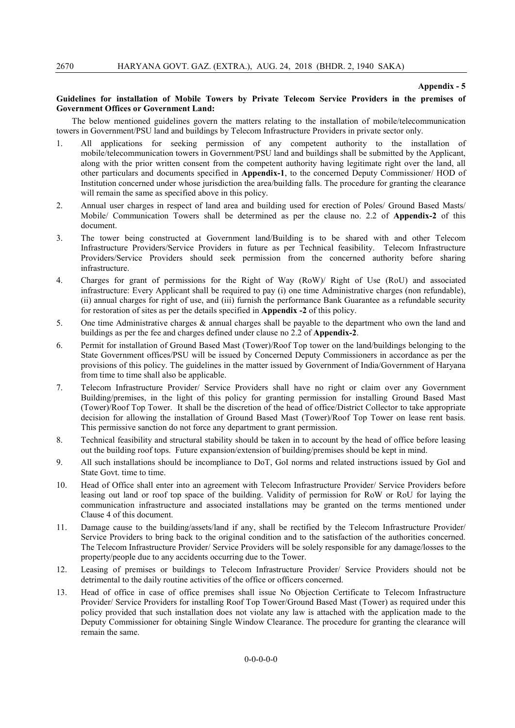#### Appendix - 5

#### Guidelines for installation of Mobile Towers by Private Telecom Service Providers in the premises of Government Offices or Government Land:

The below mentioned guidelines govern the matters relating to the installation of mobile/telecommunication towers in Government/PSU land and buildings by Telecom Infrastructure Providers in private sector only.

- 1. All applications for seeking permission of any competent authority to the installation of mobile/telecommunication towers in Government/PSU land and buildings shall be submitted by the Applicant, along with the prior written consent from the competent authority having legitimate right over the land, all other particulars and documents specified in Appendix-1, to the concerned Deputy Commissioner/ HOD of Institution concerned under whose jurisdiction the area/building falls. The procedure for granting the clearance will remain the same as specified above in this policy.
- 2. Annual user charges in respect of land area and building used for erection of Poles/ Ground Based Masts/ Mobile/ Communication Towers shall be determined as per the clause no. 2.2 of Appendix-2 of this document.
- 3. The tower being constructed at Government land/Building is to be shared with and other Telecom Infrastructure Providers/Service Providers in future as per Technical feasibility. Telecom Infrastructure Providers/Service Providers should seek permission from the concerned authority before sharing infrastructure.
- 4. Charges for grant of permissions for the Right of Way (RoW)/ Right of Use (RoU) and associated infrastructure: Every Applicant shall be required to pay (i) one time Administrative charges (non refundable), (ii) annual charges for right of use, and (iii) furnish the performance Bank Guarantee as a refundable security for restoration of sites as per the details specified in Appendix -2 of this policy.
- 5. One time Administrative charges & annual charges shall be payable to the department who own the land and buildings as per the fee and charges defined under clause no 2.2 of Appendix-2.
- 6. Permit for installation of Ground Based Mast (Tower)/Roof Top tower on the land/buildings belonging to the State Government offices/PSU will be issued by Concerned Deputy Commissioners in accordance as per the provisions of this policy. The guidelines in the matter issued by Government of India/Government of Haryana from time to time shall also be applicable.
- 7. Telecom Infrastructure Provider/ Service Providers shall have no right or claim over any Government Building/premises, in the light of this policy for granting permission for installing Ground Based Mast (Tower)/Roof Top Tower. It shall be the discretion of the head of office/District Collector to take appropriate decision for allowing the installation of Ground Based Mast (Tower)/Roof Top Tower on lease rent basis. This permissive sanction do not force any department to grant permission.
- 8. Technical feasibility and structural stability should be taken in to account by the head of office before leasing out the building roof tops. Future expansion/extension of building/premises should be kept in mind.
- 9. All such installations should be incompliance to DoT, GoI norms and related instructions issued by GoI and State Govt. time to time.
- 10. Head of Office shall enter into an agreement with Telecom Infrastructure Provider/ Service Providers before leasing out land or roof top space of the building. Validity of permission for RoW or RoU for laying the communication infrastructure and associated installations may be granted on the terms mentioned under Clause 4 of this document.
- 11. Damage cause to the building/assets/land if any, shall be rectified by the Telecom Infrastructure Provider/ Service Providers to bring back to the original condition and to the satisfaction of the authorities concerned. The Telecom Infrastructure Provider/ Service Providers will be solely responsible for any damage/losses to the property/people due to any accidents occurring due to the Tower.
- 12. Leasing of premises or buildings to Telecom Infrastructure Provider/ Service Providers should not be detrimental to the daily routine activities of the office or officers concerned.
- 13. Head of office in case of office premises shall issue No Objection Certificate to Telecom Infrastructure Provider/ Service Providers for installing Roof Top Tower/Ground Based Mast (Tower) as required under this policy provided that such installation does not violate any law is attached with the application made to the Deputy Commissioner for obtaining Single Window Clearance. The procedure for granting the clearance will remain the same.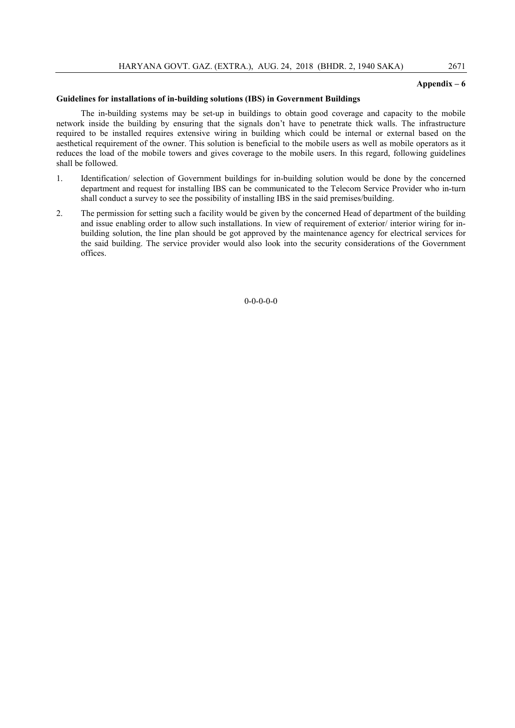#### Appendix – 6

#### Guidelines for installations of in-building solutions (IBS) in Government Buildings

The in-building systems may be set-up in buildings to obtain good coverage and capacity to the mobile network inside the building by ensuring that the signals don't have to penetrate thick walls. The infrastructure required to be installed requires extensive wiring in building which could be internal or external based on the aesthetical requirement of the owner. This solution is beneficial to the mobile users as well as mobile operators as it reduces the load of the mobile towers and gives coverage to the mobile users. In this regard, following guidelines shall be followed.

- 1. Identification/ selection of Government buildings for in-building solution would be done by the concerned department and request for installing IBS can be communicated to the Telecom Service Provider who in-turn shall conduct a survey to see the possibility of installing IBS in the said premises/building.
- 2. The permission for setting such a facility would be given by the concerned Head of department of the building and issue enabling order to allow such installations. In view of requirement of exterior/ interior wiring for inbuilding solution, the line plan should be got approved by the maintenance agency for electrical services for the said building. The service provider would also look into the security considerations of the Government offices.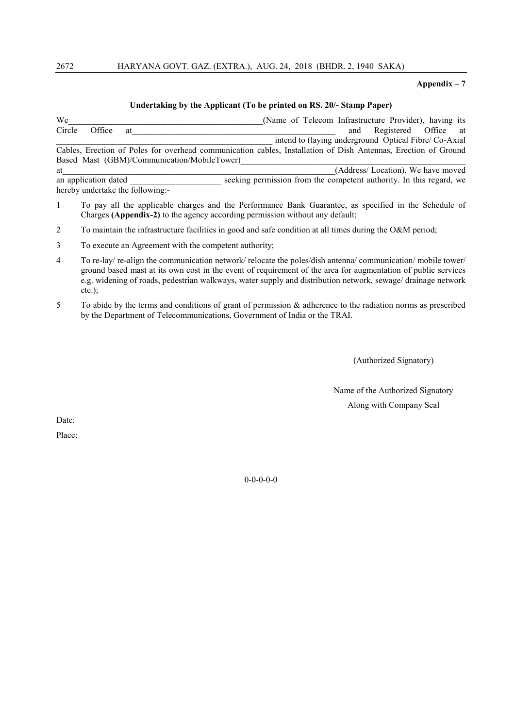#### 2672 HARYANA GOVT. GAZ. (EXTRA.), AUG. 24, 2018 (BHDR. 2, 1940 SAKA)

### Appendix – 7

#### Undertaking by the Applicant (To be printed on RS. 20/- Stamp Paper)

We<br>Circle Office at **Exercise 2018** (Name of Telecom Infrastructure Provider), having its<br>circle Office at and Registered Office at Circle Office at the contract of the contract of the contract of the contract of the contract of the contract of the contract of the contract of the contract of the contract of the contract of the contract of the contract intend to (laying underground Optical Fibre/ Co-Axial Cables, Erection of Poles for overhead communication cables, Installation of Dish Antennas, Erection of Ground Based Mast (GBM)/Communication/MobileTower) at (Address/ Location). We have moved an application dated seeking permission from the competent authority. In this regard, we

hereby undertake the following:-

- 1 To pay all the applicable charges and the Performance Bank Guarantee, as specified in the Schedule of Charges (Appendix-2) to the agency according permission without any default;
- 2 To maintain the infrastructure facilities in good and safe condition at all times during the O&M period;

- 4 To re-lay/ re-align the communication network/ relocate the poles/dish antenna/ communication/ mobile tower/ ground based mast at its own cost in the event of requirement of the area for augmentation of public services e.g. widening of roads, pedestrian walkways, water supply and distribution network, sewage/ drainage network etc.);
- 5 To abide by the terms and conditions of grant of permission & adherence to the radiation norms as prescribed by the Department of Telecommunications, Government of India or the TRAI.

(Authorized Signatory)

Name of the Authorized Signatory Along with Company Seal

Date:

Place:

<sup>3</sup> To execute an Agreement with the competent authority;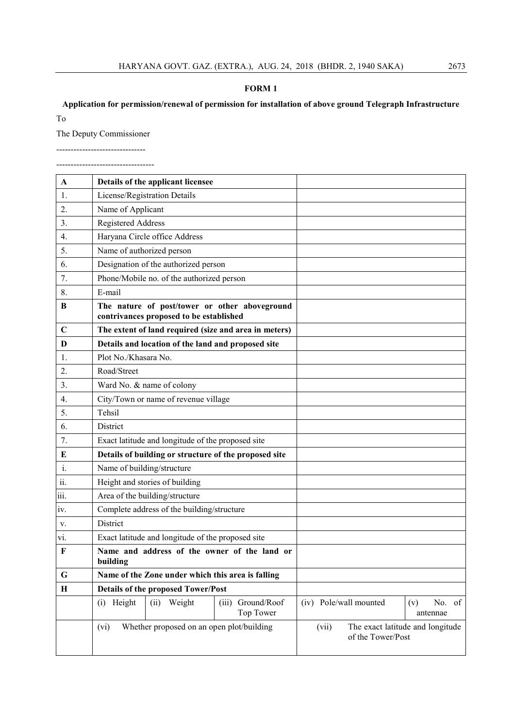#### FORM 1

# Application for permission/renewal of permission for installation of above ground Telegraph Infrastructure

To

The Deputy Commissioner

------------------------------- ----------------------------------

| A              | Details of the applicant licensee                                                        |                                |                            |                                  |
|----------------|------------------------------------------------------------------------------------------|--------------------------------|----------------------------|----------------------------------|
| 1.             | License/Registration Details                                                             |                                |                            |                                  |
| 2.             | Name of Applicant                                                                        |                                |                            |                                  |
| 3.             | <b>Registered Address</b>                                                                |                                |                            |                                  |
| 4.             | Haryana Circle office Address                                                            |                                |                            |                                  |
| 5.             | Name of authorized person                                                                |                                |                            |                                  |
| 6.             | Designation of the authorized person                                                     |                                |                            |                                  |
| 7.             | Phone/Mobile no. of the authorized person                                                |                                |                            |                                  |
| 8.             | E-mail                                                                                   |                                |                            |                                  |
| B              | The nature of post/tower or other aboveground<br>contrivances proposed to be established |                                |                            |                                  |
| $\mathbf C$    | The extent of land required (size and area in meters)                                    |                                |                            |                                  |
| D              | Details and location of the land and proposed site                                       |                                |                            |                                  |
| 1.             | Plot No./Khasara No.                                                                     |                                |                            |                                  |
| 2.             | Road/Street                                                                              |                                |                            |                                  |
| 3.             | Ward No. & name of colony                                                                |                                |                            |                                  |
| 4.             | City/Town or name of revenue village                                                     |                                |                            |                                  |
| 5.             | Tehsil                                                                                   |                                |                            |                                  |
| 6.             | District                                                                                 |                                |                            |                                  |
| 7.             | Exact latitude and longitude of the proposed site                                        |                                |                            |                                  |
| E              | Details of building or structure of the proposed site                                    |                                |                            |                                  |
| $\mathbf{i}$ . | Name of building/structure                                                               |                                |                            |                                  |
| 11.            | Height and stories of building                                                           |                                |                            |                                  |
| 111.           | Area of the building/structure                                                           |                                |                            |                                  |
| 1V.            | Complete address of the building/structure                                               |                                |                            |                                  |
| V.             | District                                                                                 |                                |                            |                                  |
| vi.            | Exact latitude and longitude of the proposed site                                        |                                |                            |                                  |
| $\mathbf F$    | Name and address of the owner of the land or<br>building                                 |                                |                            |                                  |
| G              | Name of the Zone under which this area is falling                                        |                                |                            |                                  |
| $\mathbf H$    | <b>Details of the proposed Tower/Post</b>                                                |                                |                            |                                  |
|                | (i) Height<br>Weight<br>(ii)                                                             | (iii) Ground/Roof<br>Top Tower | (iv) Pole/wall mounted     | No. of<br>(v)<br>antennae        |
|                | Whether proposed on an open plot/building<br>(vi)                                        |                                | (vii)<br>of the Tower/Post | The exact latitude and longitude |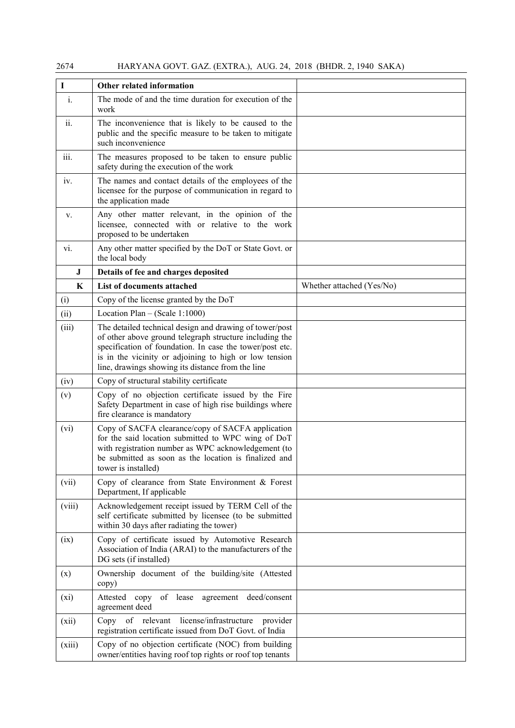| $\mathbf I$ | Other related information                                                                                                                                                                                                                                                                     |                           |
|-------------|-----------------------------------------------------------------------------------------------------------------------------------------------------------------------------------------------------------------------------------------------------------------------------------------------|---------------------------|
| i.          | The mode of and the time duration for execution of the<br>work                                                                                                                                                                                                                                |                           |
| ii.         | The inconvenience that is likely to be caused to the<br>public and the specific measure to be taken to mitigate<br>such inconvenience                                                                                                                                                         |                           |
| iii.        | The measures proposed to be taken to ensure public<br>safety during the execution of the work                                                                                                                                                                                                 |                           |
| iv.         | The names and contact details of the employees of the<br>licensee for the purpose of communication in regard to<br>the application made                                                                                                                                                       |                           |
| V.          | Any other matter relevant, in the opinion of the<br>licensee, connected with or relative to the work<br>proposed to be undertaken                                                                                                                                                             |                           |
| vi.         | Any other matter specified by the DoT or State Govt. or<br>the local body                                                                                                                                                                                                                     |                           |
| $\bf J$     | Details of fee and charges deposited                                                                                                                                                                                                                                                          |                           |
| K           | List of documents attached                                                                                                                                                                                                                                                                    | Whether attached (Yes/No) |
| (i)         | Copy of the license granted by the DoT                                                                                                                                                                                                                                                        |                           |
| (ii)        | Location Plan $-$ (Scale 1:1000)                                                                                                                                                                                                                                                              |                           |
| (iii)       | The detailed technical design and drawing of tower/post<br>of other above ground telegraph structure including the<br>specification of foundation. In case the tower/post etc.<br>is in the vicinity or adjoining to high or low tension<br>line, drawings showing its distance from the line |                           |
| (iv)        | Copy of structural stability certificate                                                                                                                                                                                                                                                      |                           |
| (v)         | Copy of no objection certificate issued by the Fire<br>Safety Department in case of high rise buildings where<br>fire clearance is mandatory                                                                                                                                                  |                           |
| (vi)        | Copy of SACFA clearance/copy of SACFA application<br>for the said location submitted to WPC wing of DoT<br>with registration number as WPC acknowledgement (to<br>be submitted as soon as the location is finalized and<br>tower is installed)                                                |                           |
| (vii)       | Copy of clearance from State Environment & Forest<br>Department, If applicable                                                                                                                                                                                                                |                           |
| (viii)      | Acknowledgement receipt issued by TERM Cell of the<br>self certificate submitted by licensee (to be submitted<br>within 30 days after radiating the tower)                                                                                                                                    |                           |
| (ix)        | Copy of certificate issued by Automotive Research<br>Association of India (ARAI) to the manufacturers of the<br>DG sets (if installed)                                                                                                                                                        |                           |
| (x)         | Ownership document of the building/site (Attested<br>copy)                                                                                                                                                                                                                                    |                           |
| (xi)        | of lease agreement<br>deed/consent<br>Attested copy<br>agreement deed                                                                                                                                                                                                                         |                           |
| (xii)       | Copy of relevant license/infrastructure<br>provider<br>registration certificate issued from DoT Govt. of India                                                                                                                                                                                |                           |
| (xiii)      | Copy of no objection certificate (NOC) from building<br>owner/entities having roof top rights or roof top tenants                                                                                                                                                                             |                           |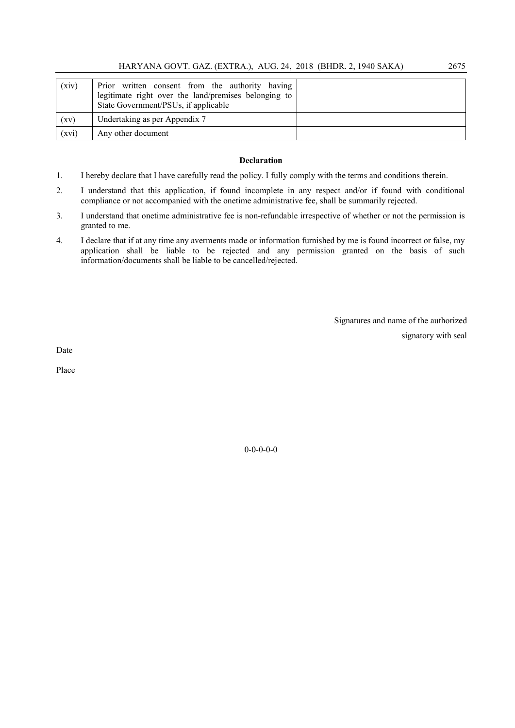| (xiv) | Prior written consent from the authority having<br>legitimate right over the land/premises belonging to<br>State Government/PSUs, if applicable |  |
|-------|-------------------------------------------------------------------------------------------------------------------------------------------------|--|
| (xv)  | Undertaking as per Appendix 7                                                                                                                   |  |
| (xvi) | Any other document                                                                                                                              |  |

#### Declaration

- 1. I hereby declare that I have carefully read the policy. I fully comply with the terms and conditions therein.
- 2. I understand that this application, if found incomplete in any respect and/or if found with conditional compliance or not accompanied with the onetime administrative fee, shall be summarily rejected.
- 3. I understand that onetime administrative fee is non-refundable irrespective of whether or not the permission is granted to me.
- 4. I declare that if at any time any averments made or information furnished by me is found incorrect or false, my application shall be liable to be rejected and any permission granted on the basis of such information/documents shall be liable to be cancelled/rejected.

Signatures and name of the authorized signatory with seal

Date

Place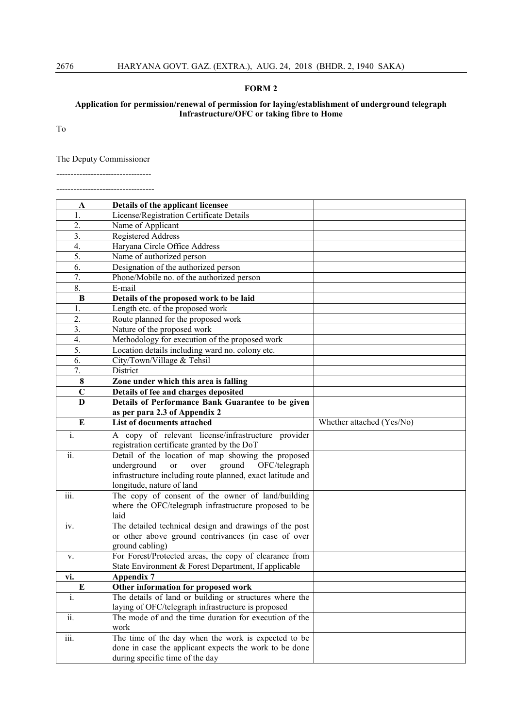#### FORM 2

Application for permission/renewal of permission for laying/establishment of underground telegraph Infrastructure/OFC or taking fibre to Home

To

The Deputy Commissioner

--------------------------------- ----------------------------------

| A                          | Details of the applicant licensee                                                                            |                           |
|----------------------------|--------------------------------------------------------------------------------------------------------------|---------------------------|
| 1.                         | License/Registration Certificate Details                                                                     |                           |
| 2.                         | Name of Applicant                                                                                            |                           |
| 3.                         | <b>Registered Address</b>                                                                                    |                           |
| 4.                         | Haryana Circle Office Address                                                                                |                           |
| 5.                         | Name of authorized person                                                                                    |                           |
| 6.                         | Designation of the authorized person                                                                         |                           |
| 7.                         | Phone/Mobile no. of the authorized person                                                                    |                           |
| 8.                         | E-mail                                                                                                       |                           |
| B                          | Details of the proposed work to be laid                                                                      |                           |
| 1.                         | Length etc. of the proposed work                                                                             |                           |
| 2.                         | Route planned for the proposed work                                                                          |                           |
| 3.                         | Nature of the proposed work                                                                                  |                           |
| 4.                         | Methodology for execution of the proposed work                                                               |                           |
| 5.                         | Location details including ward no. colony etc.                                                              |                           |
| 6.                         | City/Town/Village & Tehsil                                                                                   |                           |
| 7.                         | District                                                                                                     |                           |
| 8                          | Zone under which this area is falling                                                                        |                           |
| $\mathbf C$                | Details of fee and charges deposited                                                                         |                           |
| D                          | Details of Performance Bank Guarantee to be given                                                            |                           |
|                            | as per para 2.3 of Appendix 2                                                                                |                           |
| $\bf{E}$                   | List of documents attached                                                                                   | Whether attached (Yes/No) |
| $\mathbf{i}$ .             | A copy of relevant license/infrastructure provider                                                           |                           |
|                            | registration certificate granted by the DoT                                                                  |                           |
| $\overline{\textbf{ii}}$ . | Detail of the location of map showing the proposed                                                           |                           |
|                            | underground<br>ground<br>over<br>OFC/telegraph<br><sub>or</sub>                                              |                           |
|                            |                                                                                                              |                           |
|                            | infrastructure including route planned, exact latitude and                                                   |                           |
|                            | longitude, nature of land                                                                                    |                           |
| iii.                       | The copy of consent of the owner of land/building                                                            |                           |
|                            | where the OFC/telegraph infrastructure proposed to be                                                        |                           |
|                            | laid                                                                                                         |                           |
| iv.                        | The detailed technical design and drawings of the post                                                       |                           |
|                            | or other above ground contrivances (in case of over                                                          |                           |
|                            | ground cabling)                                                                                              |                           |
| V.                         | For Forest/Protected areas, the copy of clearance from                                                       |                           |
| vi.                        | State Environment & Forest Department, If applicable                                                         |                           |
|                            | <b>Appendix 7</b>                                                                                            |                           |
| E<br>i.                    | Other information for proposed work<br>The details of land or building or structures where the               |                           |
|                            |                                                                                                              |                           |
| ii.                        | laying of OFC/telegraph infrastructure is proposed<br>The mode of and the time duration for execution of the |                           |
|                            | work                                                                                                         |                           |
| iii.                       | The time of the day when the work is expected to be                                                          |                           |
|                            | done in case the applicant expects the work to be done<br>during specific time of the day                    |                           |